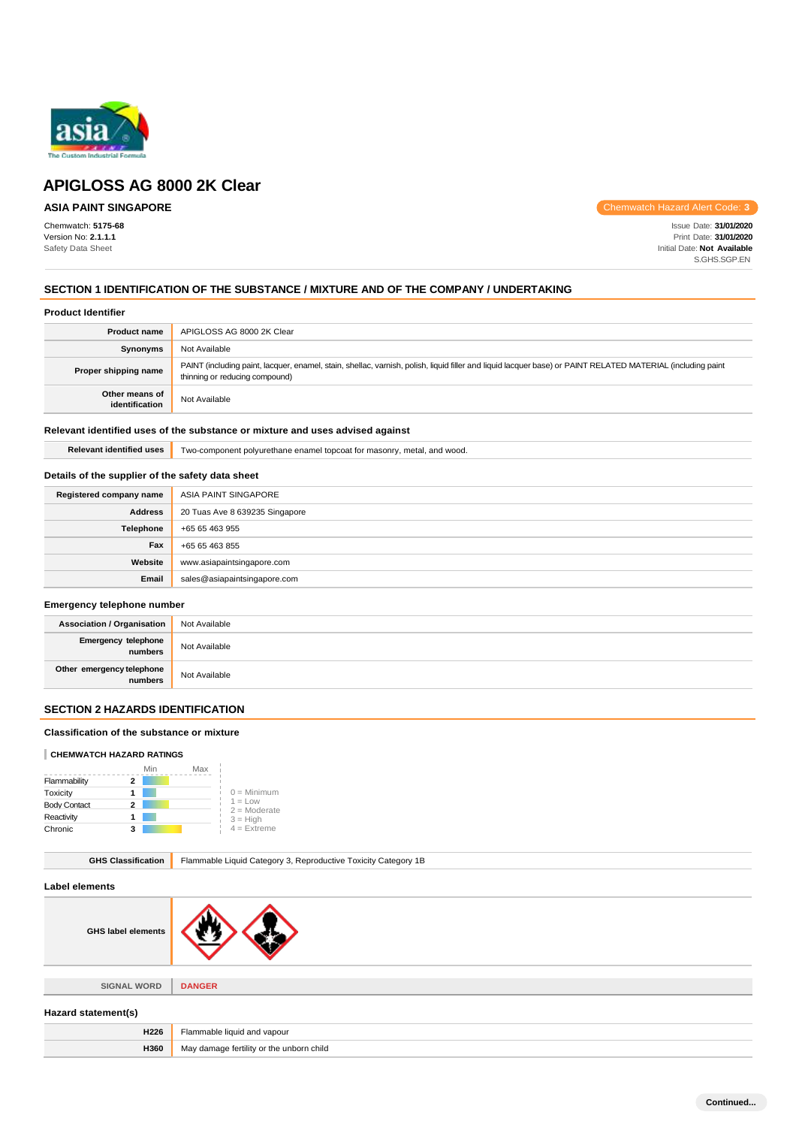

# **ASIA PAINT SINGAPORE**

Chemwatch: **5175-68** Version No: **2.1.1.1** Safety Data Sheet

Chemwatch Hazard Alert Code: **3**

Issue Date: **31/01/2020** Print Date: **31/01/2020** Initial Date: **Not Available** S.GHS.SGP.EN

# **SECTION 1 IDENTIFICATION OF THE SUBSTANCE / MIXTURE AND OF THE COMPANY / UNDERTAKING**

#### **Product Identifier**

| <b>Product name</b>              | APIGLOSS AG 8000 2K Clear                                                                                                                                                                     |
|----------------------------------|-----------------------------------------------------------------------------------------------------------------------------------------------------------------------------------------------|
| Synonyms                         | Not Available                                                                                                                                                                                 |
| Proper shipping name             | PAINT (including paint, lacquer, enamel, stain, shellac, varnish, polish, liquid filler and liquid lacquer base) or PAINT RELATED MATERIAL (including paint<br>thinning or reducing compound) |
| Other means of<br>identification | Not Available                                                                                                                                                                                 |

### **Relevant identified uses of the substance or mixture and uses advised against**

**Relevant identified uses** Two-component polyurethane enamel topcoat for masonry, metal, and wood.

# **Details of the supplier of the safety data sheet**

| Registered company name | ASIA PAINT SINGAPORE           |
|-------------------------|--------------------------------|
| <b>Address</b>          | 20 Tuas Ave 8 639235 Singapore |
| Telephone               | +65 65 463 955                 |
| Fax                     | +65 65 463 855                 |
| Website                 | www.asiapaintsingapore.com     |
| Email                   | sales@asiapaintsingapore.com   |

#### **Emergency telephone number**

| <b>Association / Organisation</b>    | Not Available |
|--------------------------------------|---------------|
| Emergency telephone<br>numbers       | Not Available |
| Other emergency telephone<br>numbers | Not Available |

# **SECTION 2 HAZARDS IDENTIFICATION**

### **Classification of the substance or mixture**

### **CHEMWATCH HAZARD RATINGS**

|                     | Min | Max |                             |
|---------------------|-----|-----|-----------------------------|
| Flammability        | 2   |     |                             |
| Toxicity            |     |     | $0 =$ Minimum               |
| <b>Body Contact</b> | 2   |     | $1 = Low$<br>$2 =$ Moderate |
| Reactivity          |     |     | $3 = High$                  |
| Chronic             | з   |     | $4$ = Extreme               |

| <b>GHS Classification</b> | Flammable Liquid Category 3, Reproductive Toxicity Category 1B |  |
|---------------------------|----------------------------------------------------------------|--|
| Label elements            |                                                                |  |
| <b>GHS label elements</b> |                                                                |  |
|                           |                                                                |  |
| <b>SIGNAL WORD</b>        | <b>DANGER</b>                                                  |  |
| Hazard statement(s)       |                                                                |  |
| H226                      | Flammable liquid and vapour                                    |  |
| H360                      | May damage fertility or the unborn child                       |  |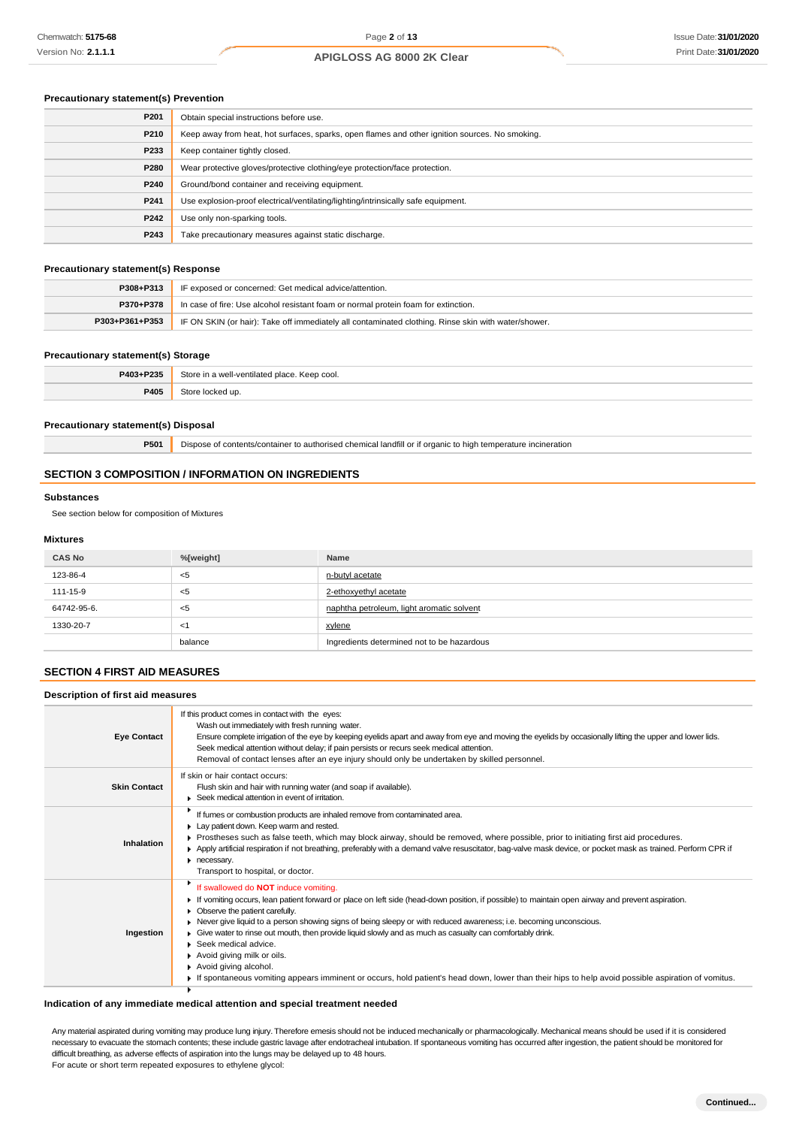### **Precautionary statement(s) Prevention**

| P201 | Obtain special instructions before use.                                                        |
|------|------------------------------------------------------------------------------------------------|
| P210 | Keep away from heat, hot surfaces, sparks, open flames and other ignition sources. No smoking. |
| P233 | Keep container tightly closed.                                                                 |
| P280 | Wear protective gloves/protective clothing/eye protection/face protection.                     |
| P240 | Ground/bond container and receiving equipment.                                                 |
| P241 | Use explosion-proof electrical/ventilating/lighting/intrinsically safe equipment.              |
| P242 | Use only non-sparking tools.                                                                   |
| P243 | Take precautionary measures against static discharge.                                          |

### **Precautionary statement(s) Response**

| P308+P313      | IF exposed or concerned: Get medical advice/attention.                                              |
|----------------|-----------------------------------------------------------------------------------------------------|
| P370+P378      | In case of fire: Use alcohol resistant foam or normal protein foam for extinction.                  |
| P303+P361+P353 | IF ON SKIN (or hair): Take off immediately all contaminated clothing. Rinse skin with water/shower. |

#### **Precautionary statement(s) Storage**

| P403+P235 | ■ Store in a well-ventilated place. K<br>. Keep cool.<br>. |
|-----------|------------------------------------------------------------|
| 9405      | 340r<br>ikea un                                            |

#### **Precautionary statement(s) Disposal**

**P501** Dispose of contents/container to authorised chemical landfill or if organic to high temperature incineration

### **SECTION 3 COMPOSITION / INFORMATION ON INGREDIENTS**

#### **Substances**

See section below for composition of Mixtures

#### **Mixtures**

| <b>CAS No</b> | %[weight] | Name                                       |
|---------------|-----------|--------------------------------------------|
| 123-86-4      | <5        | n-butyl acetate                            |
| 111-15-9      | <5        | 2-ethoxyethyl acetate                      |
| 64742-95-6.   | <5        | naphtha petroleum, light aromatic solvent  |
| 1330-20-7     | - < 1     | xylene                                     |
|               | balance   | Ingredients determined not to be hazardous |

# **SECTION 4 FIRST AID MEASURES**

# **Description of first aid measures**

| <b>Eye Contact</b>  | If this product comes in contact with the eyes:<br>Wash out immediately with fresh running water.<br>Ensure complete irrigation of the eye by keeping eyelids apart and away from eye and moving the eyelids by occasionally lifting the upper and lower lids.<br>Seek medical attention without delay; if pain persists or recurs seek medical attention.<br>Removal of contact lenses after an eye injury should only be undertaken by skilled personnel.                                                                                                                                                                                                                                                      |
|---------------------|------------------------------------------------------------------------------------------------------------------------------------------------------------------------------------------------------------------------------------------------------------------------------------------------------------------------------------------------------------------------------------------------------------------------------------------------------------------------------------------------------------------------------------------------------------------------------------------------------------------------------------------------------------------------------------------------------------------|
| <b>Skin Contact</b> | If skin or hair contact occurs:<br>Flush skin and hair with running water (and soap if available).<br>▶ Seek medical attention in event of irritation.                                                                                                                                                                                                                                                                                                                                                                                                                                                                                                                                                           |
| Inhalation          | If fumes or combustion products are inhaled remove from contaminated area.<br>Lay patient down. Keep warm and rested.<br>Prostheses such as false teeth, which may block airway, should be removed, where possible, prior to initiating first aid procedures.<br>▶ Apply artificial respiration if not breathing, preferably with a demand valve resuscitator, bag-valve mask device, or pocket mask as trained. Perform CPR if<br>necessary.<br>Transport to hospital, or doctor.                                                                                                                                                                                                                               |
| Ingestion           | If swallowed do NOT induce vomiting.<br>If vomiting occurs, lean patient forward or place on left side (head-down position, if possible) to maintain open airway and prevent aspiration.<br>Observe the patient carefully.<br>Never give liquid to a person showing signs of being sleepy or with reduced awareness; i.e. becoming unconscious.<br>Give water to rinse out mouth, then provide liquid slowly and as much as casualty can comfortably drink.<br>$\triangleright$ Seek medical advice.<br>Avoid giving milk or oils.<br>Avoid giving alcohol.<br>If spontaneous vomiting appears imminent or occurs, hold patient's head down, lower than their hips to help avoid possible aspiration of vomitus. |

### **Indication of any immediate medical attention and special treatment needed**

Any material aspirated during vomiting may produce lung injury. Therefore emesis should not be induced mechanically or pharmacologically. Mechanical means should be used if it is considered necessary to evacuate the stomach contents; these include gastric lavage after endotracheal intubation. If spontaneous vomiting has occurred after ingestion, the patient should be monitored for difficult breathing, as adverse effects of aspiration into the lungs may be delayed up to 48 hours. For acute or short term repeated exposures to ethylene glycol:

**Continued...**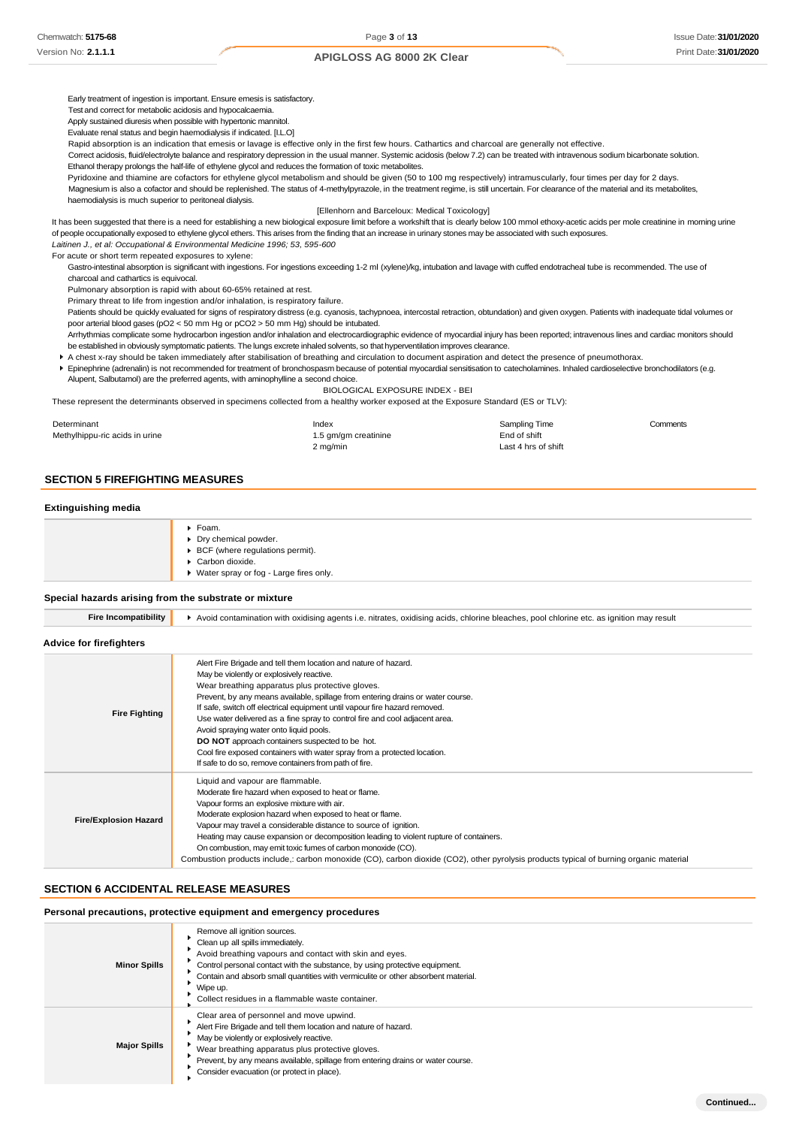Early treatment of ingestion is important. Ensure emesis is satisfactory.

Test and correct for metabolic acidosis and hypocalcaemia.

Apply sustained diuresis when possible with hypertonic mannitol.

Evaluate renal status and begin haemodialysis if indicated. [I.L.O]

Rapid absorption is an indication that emesis or lavage is effective only in the first few hours. Cathartics and charcoal are generally not effective.

Correct acidosis, fluid/electrolyte balance and respiratory depression in the usual manner. Systemic acidosis (below 7.2) can be treated with intravenous sodium bicarbonate solution. Ethanol therapy prolongs the half-life of ethylene glycol and reduces the formation of toxic metabolites.

Pyridoxine and thiamine are cofactors for ethylene glycol metabolism and should be given (50 to 100 mg respectively) intramuscularly, four times per day for 2 days.

Magnesium is also a cofactor and should be replenished. The status of 4-methylpyrazole, in the treatment regime, is still uncertain. For clearance of the material and its metabolites, haemodialysis is much superior to peritoneal dialysis.

#### [Ellenhorn and Barceloux: Medical Toxicology]

It has been suggested that there is a need for establishing a new biological exposure limit before a workshift that is clearly below 100 mmol ethoxy-acetic acids per mole creatinine in morning urine of people occupationally exposed to ethylene glycol ethers. This arises from the finding that an increase in urinary stones may be associated with such exposures.

*Laitinen J., et al: Occupational & Environmental Medicine 1996; 53, 595-600*

For acute or short term repeated exposures to xylene:

Gastro-intestinal absorption is significant with ingestions. For ingestions exceeding 1-2 ml (xylene)/kg, intubation and lavage with cuffed endotracheal tube is recommended. The use of charcoal and cathartics is equivocal.

Pulmonary absorption is rapid with about 60-65% retained at rest.

Primary threat to life from ingestion and/or inhalation, is respiratory failure.

Patients should be quickly evaluated for signs of respiratory distress (e.g. cyanosis, tachypnoea, intercostal retraction, obtundation) and given oxygen. Patients with inadequate tidal volumes or poor arterial blood gases (pO2 < 50 mm Hg or pCO2 > 50 mm Hg) should be intubated.

Arrhythmias complicate some hydrocarbon ingestion and/or inhalation and electrocardiographic evidence of myocardial injury has been reported; intravenous lines and cardiac monitors should be established in obviously symptomatic patients. The lungs excrete inhaled solvents, so that hyperventilation improves clearance.

A chest x-ray should be taken immediately after stabilisation of breathing and circulation to document aspiration and detect the presence of pneumothorax.

Epinephrine (adrenalin) is not recommended for treatment of bronchospasm because of potential myocardial sensitisation to catecholamines. Inhaled cardioselective bronchodilators (e.g. Alupent, Salbutamol) are the preferred agents, with aminophylline a second choice.

BIOLOGICAL EXPOSURE INDEX - BEI

These represent the determinants observed in specimens collected from a healthy worker exposed at the Exposure Standard (ES or TLV):

| Determinant                    | Index                | Sampling Time       | Comments |
|--------------------------------|----------------------|---------------------|----------|
| Methylhippu-ric acids in urine | 1.5 gm/gm creatinine | End of shift        |          |
|                                | 2 mg/min             | Last 4 hrs of shift |          |

### **SECTION 5 FIREFIGHTING MEASURES**

#### **Extinguishing media**

| ▶ Foam.                                          |
|--------------------------------------------------|
| Dry chemical powder.                             |
| $\triangleright$ BCF (where regulations permit). |
| Carbon dioxide.                                  |
| ▶ Water spray or fog - Large fires only.         |

#### **Special hazards arising from the substrate or mixture**

| <b>Fire Incompatibility</b> |  |
|-----------------------------|--|

**Exampatibility A** Avoid contamination with oxidising agents i.e. nitrates, oxidising acids, chlorine bleaches, pool chlorine etc. as ignition may result

#### **Advice for firefighters**

| <b>Fire Fighting</b>         | Alert Fire Brigade and tell them location and nature of hazard.<br>May be violently or explosively reactive.<br>Wear breathing apparatus plus protective gloves.<br>Prevent, by any means available, spillage from entering drains or water course.<br>If safe, switch off electrical equipment until vapour fire hazard removed.<br>Use water delivered as a fine spray to control fire and cool adjacent area.<br>Avoid spraying water onto liquid pools.<br><b>DO NOT</b> approach containers suspected to be hot.<br>Cool fire exposed containers with water spray from a protected location.<br>If safe to do so, remove containers from path of fire. |
|------------------------------|-------------------------------------------------------------------------------------------------------------------------------------------------------------------------------------------------------------------------------------------------------------------------------------------------------------------------------------------------------------------------------------------------------------------------------------------------------------------------------------------------------------------------------------------------------------------------------------------------------------------------------------------------------------|
| <b>Fire/Explosion Hazard</b> | Liquid and vapour are flammable.<br>Moderate fire hazard when exposed to heat or flame.<br>Vapour forms an explosive mixture with air.<br>Moderate explosion hazard when exposed to heat or flame.<br>Vapour may travel a considerable distance to source of ignition.<br>Heating may cause expansion or decomposition leading to violent rupture of containers.<br>On combustion, may emit toxic fumes of carbon monoxide (CO).<br>Combustion products include,: carbon monoxide (CO), carbon dioxide (CO2), other pyrolysis products typical of burning organic material                                                                                  |

# **SECTION 6 ACCIDENTAL RELEASE MEASURES**

### **Personal precautions, protective equipment and emergency procedures**

| <b>Minor Spills</b> | Remove all ignition sources.<br>Clean up all spills immediately.<br>Avoid breathing vapours and contact with skin and eyes.<br>Control personal contact with the substance, by using protective equipment.<br>Contain and absorb small quantities with vermiculite or other absorbent material.<br>Wipe up.<br>Collect residues in a flammable waste container. |
|---------------------|-----------------------------------------------------------------------------------------------------------------------------------------------------------------------------------------------------------------------------------------------------------------------------------------------------------------------------------------------------------------|
| <b>Major Spills</b> | Clear area of personnel and move upwind.<br>Alert Fire Brigade and tell them location and nature of hazard.<br>May be violently or explosively reactive.<br>Wear breathing apparatus plus protective gloves.<br>Prevent, by any means available, spillage from entering drains or water course.<br>Consider evacuation (or protect in place).                   |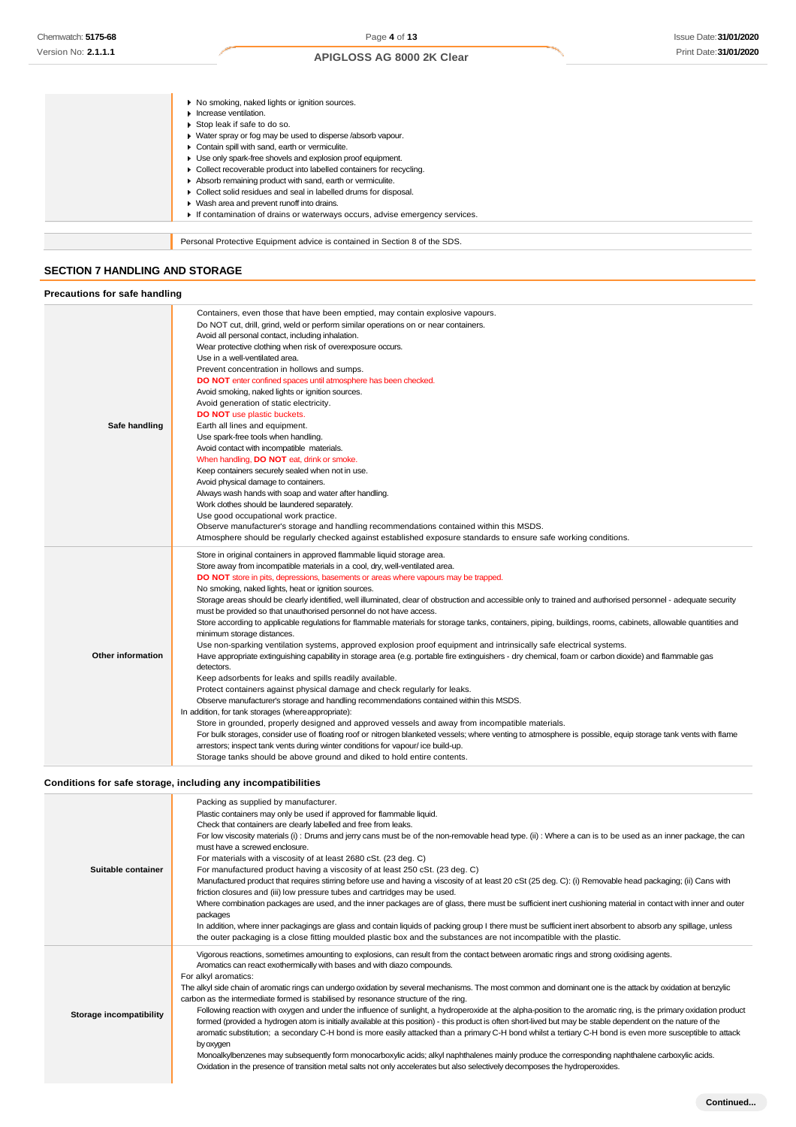|                                       | ▶ No smoking, naked lights or ignition sources.                            |  |
|---------------------------------------|----------------------------------------------------------------------------|--|
|                                       | Increase ventilation.                                                      |  |
|                                       | Stop leak if safe to do so.                                                |  |
|                                       | • Water spray or fog may be used to disperse /absorb vapour.               |  |
|                                       |                                                                            |  |
|                                       | Contain spill with sand, earth or vermiculite.<br>٠                        |  |
|                                       | Use only spark-free shovels and explosion proof equipment.                 |  |
|                                       | Collect recoverable product into labelled containers for recycling.        |  |
|                                       | Absorb remaining product with sand, earth or vermiculite.                  |  |
|                                       | Collect solid residues and seal in labelled drums for disposal.            |  |
|                                       | ▶ Wash area and prevent runoff into drains.                                |  |
|                                       | If contamination of drains or waterways occurs, advise emergency services. |  |
|                                       |                                                                            |  |
|                                       | Personal Protective Equipment advice is contained in Section 8 of the SDS. |  |
|                                       |                                                                            |  |
| <b>SECTION 7 HANDLING AND STORAGE</b> |                                                                            |  |
|                                       |                                                                            |  |
| Precautions for safe handling         |                                                                            |  |
|                                       |                                                                            |  |

| Safe handling            | Containers, even those that have been emptied, may contain explosive vapours.<br>Do NOT cut, drill, grind, weld or perform similar operations on or near containers.<br>Avoid all personal contact, including inhalation.<br>Wear protective clothing when risk of overexposure occurs.<br>Use in a well-ventilated area.<br>Prevent concentration in hollows and sumps.<br>DO NOT enter confined spaces until atmosphere has been checked.<br>Avoid smoking, naked lights or ignition sources.<br>Avoid generation of static electricity.<br><b>DO NOT</b> use plastic buckets.<br>Earth all lines and equipment.<br>Use spark-free tools when handling.<br>Avoid contact with incompatible materials.<br>When handling, DO NOT eat, drink or smoke.<br>Keep containers securely sealed when not in use.<br>Avoid physical damage to containers.<br>Always wash hands with soap and water after handling.<br>Work clothes should be laundered separately.<br>Use good occupational work practice.<br>Observe manufacturer's storage and handling recommendations contained within this MSDS.<br>Atmosphere should be regularly checked against established exposure standards to ensure safe working conditions.                                                                                                                                                                                                                                                                                                                                                                                                                                                                                                                                                      |
|--------------------------|------------------------------------------------------------------------------------------------------------------------------------------------------------------------------------------------------------------------------------------------------------------------------------------------------------------------------------------------------------------------------------------------------------------------------------------------------------------------------------------------------------------------------------------------------------------------------------------------------------------------------------------------------------------------------------------------------------------------------------------------------------------------------------------------------------------------------------------------------------------------------------------------------------------------------------------------------------------------------------------------------------------------------------------------------------------------------------------------------------------------------------------------------------------------------------------------------------------------------------------------------------------------------------------------------------------------------------------------------------------------------------------------------------------------------------------------------------------------------------------------------------------------------------------------------------------------------------------------------------------------------------------------------------------------------------------------------------------------------------------------------------------------|
| <b>Other information</b> | Store in original containers in approved flammable liquid storage area.<br>Store away from incompatible materials in a cool, dry, well-ventilated area.<br>DO NOT store in pits, depressions, basements or areas where vapours may be trapped.<br>No smoking, naked lights, heat or ignition sources.<br>Storage areas should be clearly identified, well illuminated, clear of obstruction and accessible only to trained and authorised personnel - adequate security<br>must be provided so that unauthorised personnel do not have access.<br>Store according to applicable regulations for flammable materials for storage tanks, containers, piping, buildings, rooms, cabinets, allowable quantities and<br>minimum storage distances.<br>Use non-sparking ventilation systems, approved explosion proof equipment and intrinsically safe electrical systems.<br>Have appropriate extinguishing capability in storage area (e.g. portable fire extinguishers - dry chemical, foam or carbon dioxide) and flammable gas<br>detectors.<br>Keep adsorbents for leaks and spills readily available.<br>Protect containers against physical damage and check regularly for leaks.<br>Observe manufacturer's storage and handling recommendations contained within this MSDS.<br>In addition, for tank storages (where appropriate):<br>Store in grounded, properly designed and approved vessels and away from incompatible materials.<br>For bulk storages, consider use of floating roof or nitrogen blanketed vessels; where venting to atmosphere is possible, equip storage tank vents with flame<br>arrestors; inspect tank vents during winter conditions for vapour/ice build-up.<br>Storage tanks should be above ground and diked to hold entire contents. |

# **Conditions for safe storage, including any incompatibilities**

| Suitable container             | Packing as supplied by manufacturer.<br>Plastic containers may only be used if approved for flammable liquid.<br>Check that containers are clearly labelled and free from leaks.<br>For low viscosity materials (i): Drums and jerry cans must be of the non-removable head type. (ii): Where a can is to be used as an inner package, the can<br>must have a screwed enclosure.<br>For materials with a viscosity of at least 2680 cSt. (23 deg. C)<br>For manufactured product having a viscosity of at least 250 cSt. (23 deg. C)<br>Manufactured product that requires stirring before use and having a viscosity of at least 20 cSt (25 deg. C): (i) Removable head packaging; (ii) Cans with<br>friction closures and (iii) low pressure tubes and cartridges may be used.<br>Where combination packages are used, and the inner packages are of glass, there must be sufficient inert cushioning material in contact with inner and outer<br>packages<br>In addition, where inner packagings are glass and contain liquids of packing group I there must be sufficient inert absorbent to absorb any spillage, unless<br>the outer packaging is a close fitting moulded plastic box and the substances are not incompatible with the plastic.                                               |
|--------------------------------|----------------------------------------------------------------------------------------------------------------------------------------------------------------------------------------------------------------------------------------------------------------------------------------------------------------------------------------------------------------------------------------------------------------------------------------------------------------------------------------------------------------------------------------------------------------------------------------------------------------------------------------------------------------------------------------------------------------------------------------------------------------------------------------------------------------------------------------------------------------------------------------------------------------------------------------------------------------------------------------------------------------------------------------------------------------------------------------------------------------------------------------------------------------------------------------------------------------------------------------------------------------------------------------------------|
| <b>Storage incompatibility</b> | Vigorous reactions, sometimes amounting to explosions, can result from the contact between aromatic rings and strong oxidising agents.<br>Aromatics can react exothermically with bases and with diazo compounds.<br>For alkyl aromatics:<br>The alkyl side chain of aromatic rings can undergo oxidation by several mechanisms. The most common and dominant one is the attack by oxidation at benzylic<br>carbon as the intermediate formed is stabilised by resonance structure of the ring.<br>Following reaction with oxygen and under the influence of sunlight, a hydroperoxide at the alpha-position to the aromatic ring, is the primary oxidation product<br>formed (provided a hydrogen atom is initially available at this position) - this product is often short-lived but may be stable dependent on the nature of the<br>aromatic substitution; a secondary C-H bond is more easily attacked than a primary C-H bond whilst a tertiary C-H bond is even more susceptible to attack<br>by oxygen<br>Monoalkylbenzenes may subsequently form monocarboxylic acids; alkyl naphthalenes mainly produce the corresponding naphthalene carboxylic acids.<br>Oxidation in the presence of transition metal salts not only accelerates but also selectively decomposes the hydroperoxides. |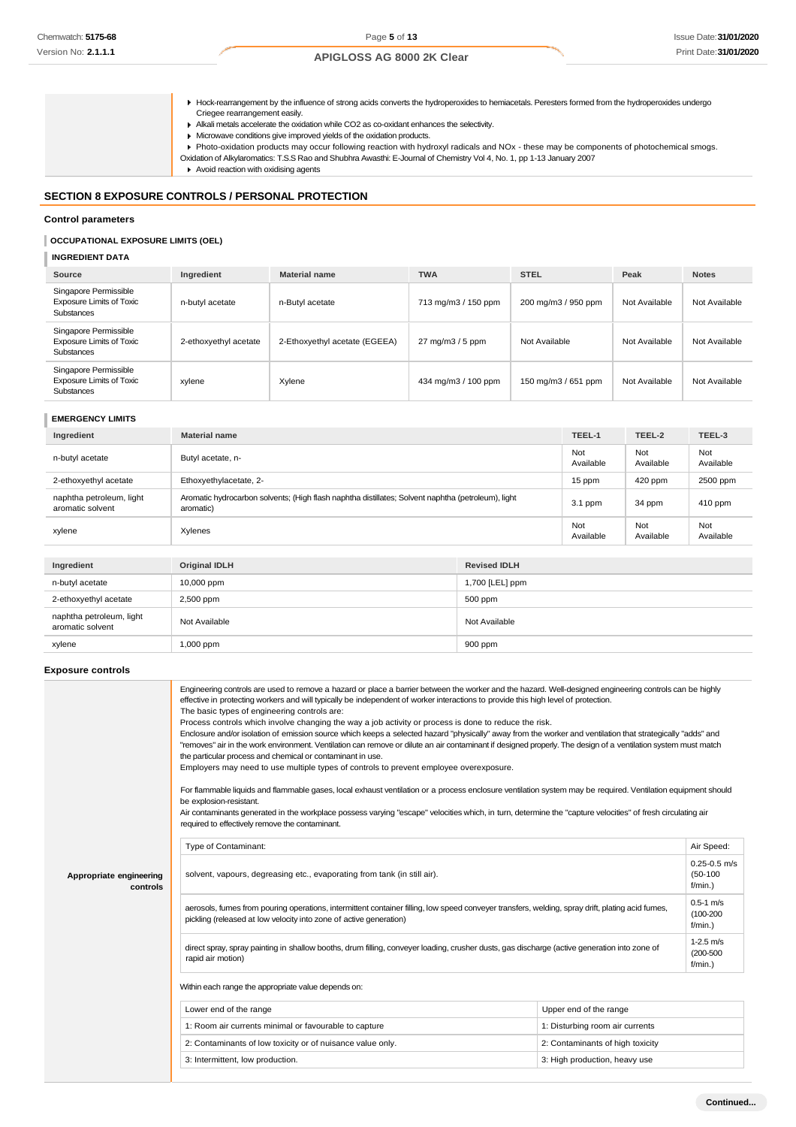Hock-rearrangement by the influence of strong acids converts the hydroperoxides to hemiacetals. Peresters formed from the hydroperoxides undergo Criegee rearrangement easily.

Alkali metals accelerate the oxidation while CO2 as co-oxidant enhances the selectivity.

- Microwave conditions give improved yields of the oxidation products.
- Photo-oxidation products may occur following reaction with hydroxyl radicals and NOx these may be components of photochemical smogs.
- Oxidation of Alkylaromatics: T.S.S Rao and Shubhra Awasthi: E-Journal of Chemistry Vol 4, No. 1, pp 1-13 January 2007
- Avoid reaction with oxidising agents

### **SECTION 8 EXPOSURE CONTROLS / PERSONAL PROTECTION**

#### **Control parameters**

## **OCCUPATIONAL EXPOSURE LIMITS (OEL)**

# **INGREDIENT DATA**

| Source                                                                 | Ingredient            | <b>Material name</b>          | <b>TWA</b>          | <b>STEL</b>         | Peak          | <b>Notes</b>  |
|------------------------------------------------------------------------|-----------------------|-------------------------------|---------------------|---------------------|---------------|---------------|
| Singapore Permissible<br><b>Exposure Limits of Toxic</b><br>Substances | n-butyl acetate       | n-Butyl acetate               | 713 mg/m3 / 150 ppm | 200 mg/m3 / 950 ppm | Not Available | Not Available |
| Singapore Permissible<br><b>Exposure Limits of Toxic</b><br>Substances | 2-ethoxyethyl acetate | 2-Ethoxyethyl acetate (EGEEA) | 27 mg/m3 / 5 ppm    | Not Available       | Not Available | Not Available |
| Singapore Permissible<br><b>Exposure Limits of Toxic</b><br>Substances | xylene                | Xylene                        | 434 mg/m3 / 100 ppm | 150 mg/m3 / 651 ppm | Not Available | Not Available |

# **EMERGENCY LIMITS**

| Ingredient                                                                                                                                                                                                                     | <b>Material name</b>                                                                                            |  | TEEL-1           | TEEL-2           | TEEL-3           |
|--------------------------------------------------------------------------------------------------------------------------------------------------------------------------------------------------------------------------------|-----------------------------------------------------------------------------------------------------------------|--|------------------|------------------|------------------|
| n-butyl acetate                                                                                                                                                                                                                | Butyl acetate, n-                                                                                               |  | Not<br>Available | Not<br>Available | Not<br>Available |
| 2-ethoxyethyl acetate                                                                                                                                                                                                          | Ethoxyethylacetate, 2-                                                                                          |  | 15 ppm           | 420 ppm          | 2500 ppm         |
| naphtha petroleum, light<br>aromatic solvent                                                                                                                                                                                   | Aromatic hydrocarbon solvents; (High flash naphtha distillates; Solvent naphtha (petroleum), light<br>aromatic) |  | 3.1 ppm          | 34 ppm           | 410 ppm          |
| xylene                                                                                                                                                                                                                         | Xylenes                                                                                                         |  | Not<br>Available | Not<br>Available | Not<br>Available |
|                                                                                                                                                                                                                                |                                                                                                                 |  |                  |                  |                  |
| Ingredient                                                                                                                                                                                                                     | <b>Original IDLH</b><br><b>Revised IDLH</b>                                                                     |  |                  |                  |                  |
| to the colorado of the state of the state of the state of the state of the state of the state of the state of the state of the state of the state of the state of the state of the state of the state of the state of the stat | $10.000 - 1$<br>$4700$ H $F11$                                                                                  |  |                  |                  |                  |

| $\sim$                                       |               |                 |
|----------------------------------------------|---------------|-----------------|
| n-butyl acetate                              | 10,000 ppm    | 1,700 [LEL] ppm |
| 2-ethoxyethyl acetate                        | 2,500 ppm     | 500 ppm         |
| naphtha petroleum, light<br>aromatic solvent | Not Available | Not Available   |
| xylene                                       | 1,000 ppm     | 900 ppm         |
|                                              |               |                 |

### **Exposure controls**

|                                     | Engineering controls are used to remove a hazard or place a barrier between the worker and the hazard. Well-designed engineering controls can be highly<br>effective in protecting workers and will typically be independent of worker interactions to provide this high level of protection.<br>The basic types of engineering controls are:<br>Process controls which involve changing the way a job activity or process is done to reduce the risk.<br>Enclosure and/or isolation of emission source which keeps a selected hazard "physically" away from the worker and ventilation that strategically "adds" and<br>"removes" air in the work environment. Ventilation can remove or dilute an air contaminant if designed properly. The design of a ventilation system must match<br>the particular process and chemical or contaminant in use.<br>Employers may need to use multiple types of controls to prevent employee overexposure.<br>For flammable liquids and flammable gases, local exhaust ventilation or a process enclosure ventilation system may be required. Ventilation equipment should<br>be explosion-resistant.<br>Air contaminants generated in the workplace possess varying "escape" velocities which, in turn, determine the "capture velocities" of fresh circulating air<br>required to effectively remove the contaminant. |                                  |                                              |
|-------------------------------------|--------------------------------------------------------------------------------------------------------------------------------------------------------------------------------------------------------------------------------------------------------------------------------------------------------------------------------------------------------------------------------------------------------------------------------------------------------------------------------------------------------------------------------------------------------------------------------------------------------------------------------------------------------------------------------------------------------------------------------------------------------------------------------------------------------------------------------------------------------------------------------------------------------------------------------------------------------------------------------------------------------------------------------------------------------------------------------------------------------------------------------------------------------------------------------------------------------------------------------------------------------------------------------------------------------------------------------------------------------------|----------------------------------|----------------------------------------------|
|                                     | Type of Contaminant:                                                                                                                                                                                                                                                                                                                                                                                                                                                                                                                                                                                                                                                                                                                                                                                                                                                                                                                                                                                                                                                                                                                                                                                                                                                                                                                                         |                                  | Air Speed:                                   |
| Appropriate engineering<br>controls | solvent, vapours, degreasing etc., evaporating from tank (in still air).                                                                                                                                                                                                                                                                                                                                                                                                                                                                                                                                                                                                                                                                                                                                                                                                                                                                                                                                                                                                                                                                                                                                                                                                                                                                                     |                                  |                                              |
|                                     | aerosols, fumes from pouring operations, intermittent container filling, low speed conveyer transfers, welding, spray drift, plating acid fumes,<br>pickling (released at low velocity into zone of active generation)                                                                                                                                                                                                                                                                                                                                                                                                                                                                                                                                                                                                                                                                                                                                                                                                                                                                                                                                                                                                                                                                                                                                       |                                  | $0.5 - 1$ m/s<br>$(100 - 200)$<br>$f/min.$ ) |
|                                     | direct spray, spray painting in shallow booths, drum filling, conveyer loading, crusher dusts, gas discharge (active generation into zone of<br>rapid air motion)                                                                                                                                                                                                                                                                                                                                                                                                                                                                                                                                                                                                                                                                                                                                                                                                                                                                                                                                                                                                                                                                                                                                                                                            |                                  | $1-2.5$ m/s<br>$(200 - 500)$<br>$f/min.$ )   |
|                                     | Within each range the appropriate value depends on:                                                                                                                                                                                                                                                                                                                                                                                                                                                                                                                                                                                                                                                                                                                                                                                                                                                                                                                                                                                                                                                                                                                                                                                                                                                                                                          |                                  |                                              |
|                                     | Lower end of the range<br>Upper end of the range                                                                                                                                                                                                                                                                                                                                                                                                                                                                                                                                                                                                                                                                                                                                                                                                                                                                                                                                                                                                                                                                                                                                                                                                                                                                                                             |                                  |                                              |
|                                     | 1: Room air currents minimal or favourable to capture                                                                                                                                                                                                                                                                                                                                                                                                                                                                                                                                                                                                                                                                                                                                                                                                                                                                                                                                                                                                                                                                                                                                                                                                                                                                                                        | 1: Disturbing room air currents  |                                              |
|                                     | 2: Contaminants of low toxicity or of nuisance value only.                                                                                                                                                                                                                                                                                                                                                                                                                                                                                                                                                                                                                                                                                                                                                                                                                                                                                                                                                                                                                                                                                                                                                                                                                                                                                                   | 2: Contaminants of high toxicity |                                              |
|                                     | 3: Intermittent, low production.                                                                                                                                                                                                                                                                                                                                                                                                                                                                                                                                                                                                                                                                                                                                                                                                                                                                                                                                                                                                                                                                                                                                                                                                                                                                                                                             | 3: High production, heavy use    |                                              |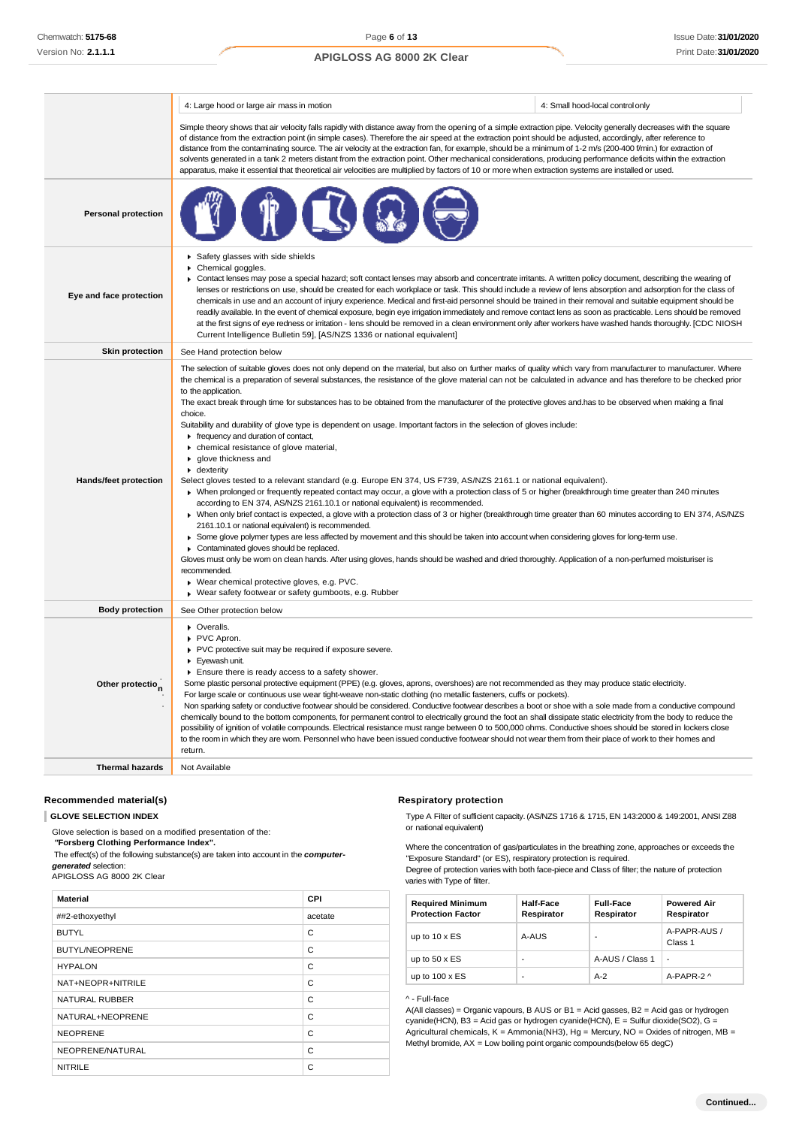|                              | 4: Large hood or large air mass in motion                                                                                                                                                                                                                                                                                                                                                                                                                                                                                                                                                                                                                                                                                                                                                                                                                                                                                                                                                                                                                                                                                                                                                                                                                                                                                                                                                                                                                                                                                                                                                                                                                                                                                                                                                                                                                             | 4: Small hood-local control only |
|------------------------------|-----------------------------------------------------------------------------------------------------------------------------------------------------------------------------------------------------------------------------------------------------------------------------------------------------------------------------------------------------------------------------------------------------------------------------------------------------------------------------------------------------------------------------------------------------------------------------------------------------------------------------------------------------------------------------------------------------------------------------------------------------------------------------------------------------------------------------------------------------------------------------------------------------------------------------------------------------------------------------------------------------------------------------------------------------------------------------------------------------------------------------------------------------------------------------------------------------------------------------------------------------------------------------------------------------------------------------------------------------------------------------------------------------------------------------------------------------------------------------------------------------------------------------------------------------------------------------------------------------------------------------------------------------------------------------------------------------------------------------------------------------------------------------------------------------------------------------------------------------------------------|----------------------------------|
|                              | Simple theory shows that air velocity falls rapidly with distance away from the opening of a simple extraction pipe. Velocity generally decreases with the square<br>of distance from the extraction point (in simple cases). Therefore the air speed at the extraction point should be adjusted, accordingly, after reference to<br>distance from the contaminating source. The air velocity at the extraction fan, for example, should be a minimum of 1-2 m/s (200-400 f/min.) for extraction of<br>solvents generated in a tank 2 meters distant from the extraction point. Other mechanical considerations, producing performance deficits within the extraction<br>apparatus, make it essential that theoretical air velocities are multiplied by factors of 10 or more when extraction systems are installed or used.                                                                                                                                                                                                                                                                                                                                                                                                                                                                                                                                                                                                                                                                                                                                                                                                                                                                                                                                                                                                                                          |                                  |
| <b>Personal protection</b>   |                                                                                                                                                                                                                                                                                                                                                                                                                                                                                                                                                                                                                                                                                                                                                                                                                                                                                                                                                                                                                                                                                                                                                                                                                                                                                                                                                                                                                                                                                                                                                                                                                                                                                                                                                                                                                                                                       |                                  |
| Eye and face protection      | ▶ Safety glasses with side shields<br>Chemical goggles.<br>▶ Contact lenses may pose a special hazard; soft contact lenses may absorb and concentrate irritants. A written policy document, describing the wearing of<br>lenses or restrictions on use, should be created for each workplace or task. This should include a review of lens absorption and adsorption for the class of<br>chemicals in use and an account of injury experience. Medical and first-aid personnel should be trained in their removal and suitable equipment should be<br>readily available. In the event of chemical exposure, begin eye irrigation immediately and remove contact lens as soon as practicable. Lens should be removed<br>at the first signs of eye redness or irritation - lens should be removed in a clean environment only after workers have washed hands thoroughly. [CDC NIOSH<br>Current Intelligence Bulletin 59], [AS/NZS 1336 or national equivalent]                                                                                                                                                                                                                                                                                                                                                                                                                                                                                                                                                                                                                                                                                                                                                                                                                                                                                                         |                                  |
| <b>Skin protection</b>       | See Hand protection below                                                                                                                                                                                                                                                                                                                                                                                                                                                                                                                                                                                                                                                                                                                                                                                                                                                                                                                                                                                                                                                                                                                                                                                                                                                                                                                                                                                                                                                                                                                                                                                                                                                                                                                                                                                                                                             |                                  |
| Hands/feet protection        | The selection of suitable gloves does not only depend on the material, but also on further marks of quality which vary from manufacturer to manufacturer. Where<br>the chemical is a preparation of several substances, the resistance of the glove material can not be calculated in advance and has therefore to be checked prior<br>to the application.<br>The exact break through time for substances has to be obtained from the manufacturer of the protective gloves and has to be observed when making a final<br>choice.<br>Suitability and durability of glove type is dependent on usage. Important factors in the selection of gloves include:<br>Firequency and duration of contact,<br>• chemical resistance of glove material,<br>▶ glove thickness and<br>$\blacktriangleright$ dexterity<br>Select gloves tested to a relevant standard (e.g. Europe EN 374, US F739, AS/NZS 2161.1 or national equivalent).<br>> When prolonged or frequently repeated contact may occur, a glove with a protection class of 5 or higher (breakthrough time greater than 240 minutes<br>according to EN 374, AS/NZS 2161.10.1 or national equivalent) is recommended.<br>> When only brief contact is expected, a glove with a protection class of 3 or higher (breakthrough time greater than 60 minutes according to EN 374, AS/NZS<br>2161.10.1 or national equivalent) is recommended.<br>> Some glove polymer types are less affected by movement and this should be taken into account when considering gloves for long-term use.<br>Contaminated gloves should be replaced.<br>Gloves must only be wom on clean hands. After using gloves, hands should be washed and dried thoroughly. Application of a non-perfumed moisturiser is<br>recommended.<br>▶ Wear chemical protective gloves, e.g. PVC.<br>Wear safety footwear or safety gumboots, e.g. Rubber |                                  |
| <b>Body protection</b>       | See Other protection below                                                                                                                                                                                                                                                                                                                                                                                                                                                                                                                                                                                                                                                                                                                                                                                                                                                                                                                                                                                                                                                                                                                                                                                                                                                                                                                                                                                                                                                                                                                                                                                                                                                                                                                                                                                                                                            |                                  |
| Other protectio <sub>n</sub> | • Overalls.<br>PVC Apron.<br>PVC protective suit may be required if exposure severe.<br>Eyewash unit.<br>Ensure there is ready access to a safety shower.<br>Some plastic personal protective equipment (PPE) (e.g. gloves, aprons, overshoes) are not recommended as they may produce static electricity.<br>For large scale or continuous use wear tight-weave non-static clothing (no metallic fasteners, cuffs or pockets).<br>Non sparking safety or conductive footwear should be considered. Conductive footwear describes a boot or shoe with a sole made from a conductive compound<br>chemically bound to the bottom components, for permanent control to electrically ground the foot an shall dissipate static electricity from the body to reduce the<br>possibility of ignition of volatile compounds. Electrical resistance must range between 0 to 500,000 ohms. Conductive shoes should be stored in lockers close<br>to the room in which they are worn. Personnel who have been issued conductive footwear should not wear them from their place of work to their homes and<br>return.                                                                                                                                                                                                                                                                                                                                                                                                                                                                                                                                                                                                                                                                                                                                                             |                                  |
| <b>Thermal hazards</b>       | Not Available                                                                                                                                                                                                                                                                                                                                                                                                                                                                                                                                                                                                                                                                                                                                                                                                                                                                                                                                                                                                                                                                                                                                                                                                                                                                                                                                                                                                                                                                                                                                                                                                                                                                                                                                                                                                                                                         |                                  |

### **Recommended material(s)**

**GLOVE SELECTION INDEX**

| Glove selection is based on a modified presentation of the:<br>"Forsberg Clothing Performance Index".<br>The effect(s) of the following substance(s) are taken into account in the computer-<br>generated selection:<br>APIGLOSS AG 8000 2K Clear |         |
|---------------------------------------------------------------------------------------------------------------------------------------------------------------------------------------------------------------------------------------------------|---------|
| <b>Material</b>                                                                                                                                                                                                                                   | CPI     |
| ##2-ethoxyethyl                                                                                                                                                                                                                                   | acetate |
| <b>BUTYL</b>                                                                                                                                                                                                                                      | C       |
| <b>BUTYL/NEOPRENE</b>                                                                                                                                                                                                                             | C       |
| <b>HYPALON</b>                                                                                                                                                                                                                                    | C       |
| NAT+NEOPR+NITRILE                                                                                                                                                                                                                                 | C       |
| <b>NATURAL RUBBER</b>                                                                                                                                                                                                                             | C       |
| NATURAL+NEOPRENE                                                                                                                                                                                                                                  | C       |
| <b>NEOPRENE</b>                                                                                                                                                                                                                                   | C       |
| NEOPRENE/NATURAL                                                                                                                                                                                                                                  | C       |
| <b>NITRILE</b>                                                                                                                                                                                                                                    | C       |

### **Respiratory protection**

Type A Filter of sufficient capacity. (AS/NZS 1716 & 1715, EN 143:2000 & 149:2001, ANSI Z88 or national equivalent)

Where the concentration of gas/particulates in the breathing zone, approaches or exceeds the "Exposure Standard" (or ES), respiratory protection is required.

Degree of protection varies with both face-piece and Class of filter; the nature of protection varies with Type of filter.

| <b>Required Minimum</b><br><b>Protection Factor</b> | <b>Half-Face</b><br>Respirator | <b>Full-Face</b><br>Respirator | <b>Powered Air</b><br>Respirator |
|-----------------------------------------------------|--------------------------------|--------------------------------|----------------------------------|
| up to $10 \times ES$                                | A-AUS                          |                                | A-PAPR-AUS /<br>Class 1          |
| up to $50 \times ES$                                | -                              | A-AUS / Class 1                |                                  |
| up to $100 \times ES$                               | ٠                              | $A-2$                          | A-PAPR-2 ^                       |

#### ^ - Full-face

A(All classes) = Organic vapours, B AUS or B1 = Acid gasses, B2 = Acid gas or hydrogen cyanide(HCN), B3 = Acid gas or hydrogen cyanide(HCN), E = Sulfur dioxide(SO2), G = Agricultural chemicals,  $K =$  Ammonia(NH3), Hg = Mercury, NO = Oxides of nitrogen, MB = Methyl bromide, AX = Low boiling point organic compounds(below 65 degC)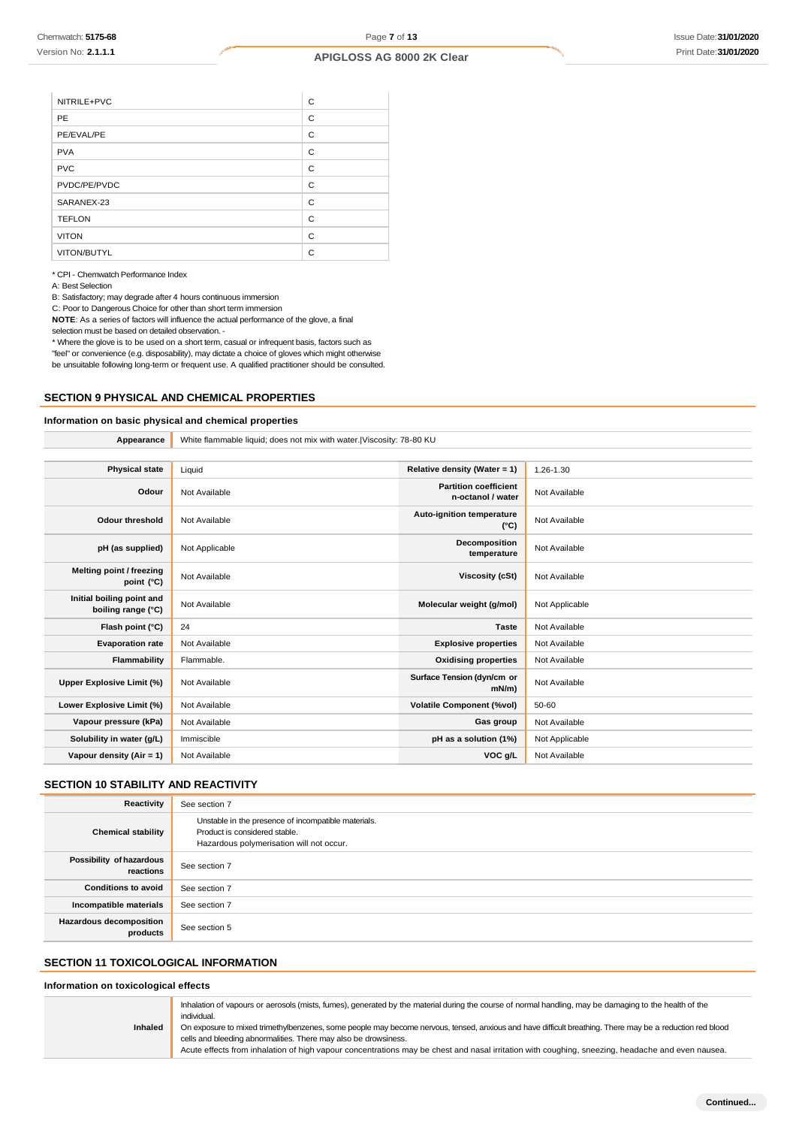NITRILE+PVC

PE/EVAL/PE

| NITRILE+PVC | C |
|-------------|---|
| PE          | C |
| PE/EVAL/PE  | C |
| <b>PVA</b>  | C |
| <b>PVC</b>  | C |

**Appearance** White flammable liquid; does not mix with water.|Viscosity: 78-80 KU

| <b>PVC</b>    | С |
|---------------|---|
| PVDC/PE/PVDC  | C |
| SARANEX-23    | C |
| <b>TEFLON</b> | C |
| <b>VITON</b>  | C |
| VITON/BUTYL   | C |

\* CPI - Chemwatch Performance Index

A: Best Selection

B: Satisfactory; may degrade after 4 hours continuous immersion

C: Poor to Dangerous Choice for other than short term immersion

**NOTE**: As a series of factors will influence the actual performance of the glove, a final

selection must be based on detailed observation. -

\* Where the glove is to be used on a short term, casual or infrequent basis, factors such as "feel" or convenience (e.g. disposability), may dictate a choice of gloves which might otherwise be unsuitable following long-term or frequent use. A qualified practitioner should be consulted.

### **SECTION 9 PHYSICAL AND CHEMICAL PROPERTIES**

# **Information on basic physical and chemical properties**

| <b>Physical state</b>                           | Liquid         | Relative density (Water = 1)                      | 1.26-1.30      |
|-------------------------------------------------|----------------|---------------------------------------------------|----------------|
| Odour                                           | Not Available  | <b>Partition coefficient</b><br>n-octanol / water | Not Available  |
| <b>Odour threshold</b>                          | Not Available  | Auto-ignition temperature<br>$(^{\circ}C)$        | Not Available  |
| pH (as supplied)                                | Not Applicable | Decomposition<br>temperature                      | Not Available  |
| Melting point / freezing<br>point (°C)          | Not Available  | <b>Viscosity (cSt)</b>                            | Not Available  |
| Initial boiling point and<br>boiling range (°C) | Not Available  | Molecular weight (g/mol)                          | Not Applicable |
| Flash point (°C)                                | 24             | <b>Taste</b>                                      | Not Available  |
| <b>Evaporation rate</b>                         | Not Available  | <b>Explosive properties</b>                       | Not Available  |
| Flammability                                    | Flammable.     | <b>Oxidising properties</b>                       | Not Available  |
| Upper Explosive Limit (%)                       | Not Available  | Surface Tension (dyn/cm or<br>$mN/m$ )            | Not Available  |
| Lower Explosive Limit (%)                       | Not Available  | <b>Volatile Component (%vol)</b>                  | 50-60          |
| Vapour pressure (kPa)                           | Not Available  | Gas group                                         | Not Available  |
| Solubility in water (g/L)                       | Immiscible     | pH as a solution (1%)                             | Not Applicable |
| Vapour density (Air = 1)                        | Not Available  | VOC g/L                                           | Not Available  |
|                                                 |                |                                                   |                |

# **SECTION 10 STABILITY AND REACTIVITY**

| Reactivity                                 | See section 7                                                                                                                    |
|--------------------------------------------|----------------------------------------------------------------------------------------------------------------------------------|
| <b>Chemical stability</b>                  | Unstable in the presence of incompatible materials.<br>Product is considered stable.<br>Hazardous polymerisation will not occur. |
| Possibility of hazardous<br>reactions      | See section 7                                                                                                                    |
| <b>Conditions to avoid</b>                 | See section 7                                                                                                                    |
| Incompatible materials                     | See section 7                                                                                                                    |
| <b>Hazardous decomposition</b><br>products | See section 5                                                                                                                    |

# **SECTION 11 TOXICOLOGICAL INFORMATION**

#### **Information on toxicological effects**

| Inhaled | Inhalation of vapours or aerosols (mists, fumes), generated by the material during the course of normal handling, may be damaging to the health of the<br>individual.<br>On exposure to mixed trimethylbenzenes, some people may become nervous, tensed, anxious and have difficult breathing. There may be a reduction red blood<br>cells and bleeding abnormalities. There may also be drowsiness.<br>Acute effects from inhalation of high vapour concentrations may be chest and nasal irritation with coughing, sneezing, headache and even nausea. |
|---------|----------------------------------------------------------------------------------------------------------------------------------------------------------------------------------------------------------------------------------------------------------------------------------------------------------------------------------------------------------------------------------------------------------------------------------------------------------------------------------------------------------------------------------------------------------|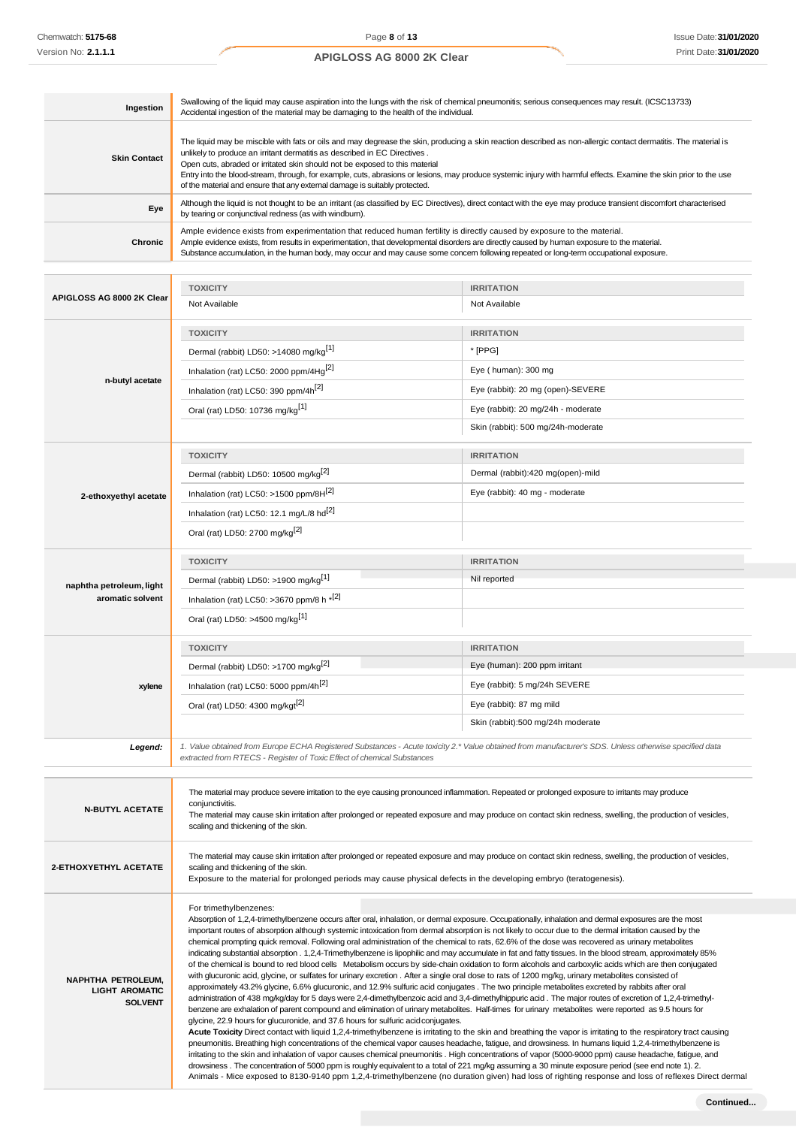×.

# **APIGLOSS AG 8000 2K Clear**

| Ingestion           | Swallowing of the liquid may cause aspiration into the lungs with the risk of chemical pneumonitis; serious consequences may result. (ICSC13733)<br>Accidental ingestion of the material may be damaging to the health of the individual.                                                                                                                                                                                                                                                                                                                                       |
|---------------------|---------------------------------------------------------------------------------------------------------------------------------------------------------------------------------------------------------------------------------------------------------------------------------------------------------------------------------------------------------------------------------------------------------------------------------------------------------------------------------------------------------------------------------------------------------------------------------|
| <b>Skin Contact</b> | The liquid may be miscible with fats or oils and may degrease the skin, producing a skin reaction described as non-allergic contact dermatitis. The material is<br>unlikely to produce an irritant dermatitis as described in EC Directives.<br>Open cuts, abraded or irritated skin should not be exposed to this material<br>Entry into the blood-stream, through, for example, cuts, abrasions or lesions, may produce systemic injury with harmful effects. Examine the skin prior to the use<br>of the material and ensure that any external damage is suitably protected. |
| Eye                 | Although the liquid is not thought to be an irritant (as classified by EC Directives), direct contact with the eye may produce transient discomfort characterised<br>by tearing or conjunctival redness (as with windburn).                                                                                                                                                                                                                                                                                                                                                     |
| Chronic             | Ample evidence exists from experimentation that reduced human fertility is directly caused by exposure to the material.<br>Ample evidence exists, from results in experimentation, that developmental disorders are directly caused by human exposure to the material.<br>Substance accumulation, in the human body, may occur and may cause some concern following repeated or long-term occupational exposure.                                                                                                                                                                |

|                                         | <b>TOXICITY</b>                                                                                                                                                                                                                                                                                                       | <b>IRRITATION</b>                                                                                                                                   |  |
|-----------------------------------------|-----------------------------------------------------------------------------------------------------------------------------------------------------------------------------------------------------------------------------------------------------------------------------------------------------------------------|-----------------------------------------------------------------------------------------------------------------------------------------------------|--|
| APIGLOSS AG 8000 2K Clear               | Not Available                                                                                                                                                                                                                                                                                                         | Not Available                                                                                                                                       |  |
|                                         | <b>TOXICITY</b>                                                                                                                                                                                                                                                                                                       | <b>IRRITATION</b>                                                                                                                                   |  |
|                                         | Dermal (rabbit) LD50: >14080 mg/kg <sup>[1]</sup>                                                                                                                                                                                                                                                                     | * [PPG]                                                                                                                                             |  |
|                                         | Inhalation (rat) LC50: 2000 ppm/4Hq <sup>[2]</sup>                                                                                                                                                                                                                                                                    | Eye (human): 300 mg                                                                                                                                 |  |
| n-butyl acetate                         | Inhalation (rat) LC50: 390 ppm/4h <sup>[2]</sup>                                                                                                                                                                                                                                                                      | Eye (rabbit): 20 mg (open)-SEVERE                                                                                                                   |  |
|                                         | Oral (rat) LD50: 10736 mg/kg <sup>[1]</sup>                                                                                                                                                                                                                                                                           | Eye (rabbit): 20 mg/24h - moderate                                                                                                                  |  |
|                                         |                                                                                                                                                                                                                                                                                                                       | Skin (rabbit): 500 mg/24h-moderate                                                                                                                  |  |
|                                         | <b>TOXICITY</b>                                                                                                                                                                                                                                                                                                       | <b>IRRITATION</b>                                                                                                                                   |  |
|                                         | Dermal (rabbit) LD50: 10500 mg/kg <sup>[2]</sup>                                                                                                                                                                                                                                                                      | Dermal (rabbit):420 mg(open)-mild                                                                                                                   |  |
| 2-ethoxyethyl acetate                   | Inhalation (rat) LC50: >1500 ppm/8H <sup>[2]</sup>                                                                                                                                                                                                                                                                    | Eye (rabbit): 40 mg - moderate                                                                                                                      |  |
|                                         | Inhalation (rat) LC50: 12.1 mg/L/8 hd <sup>[2]</sup>                                                                                                                                                                                                                                                                  |                                                                                                                                                     |  |
|                                         | Oral (rat) LD50: 2700 mg/kg <sup>[2]</sup>                                                                                                                                                                                                                                                                            |                                                                                                                                                     |  |
|                                         |                                                                                                                                                                                                                                                                                                                       |                                                                                                                                                     |  |
|                                         | <b>TOXICITY</b>                                                                                                                                                                                                                                                                                                       | <b>IRRITATION</b>                                                                                                                                   |  |
| naphtha petroleum, light                | Dermal (rabbit) LD50: >1900 mg/kg <sup>[1]</sup>                                                                                                                                                                                                                                                                      | Nil reported                                                                                                                                        |  |
| aromatic solvent                        | Inhalation (rat) LC50: >3670 ppm/8 h *[2]                                                                                                                                                                                                                                                                             |                                                                                                                                                     |  |
|                                         | Oral (rat) LD50: >4500 mg/kg <sup>[1]</sup>                                                                                                                                                                                                                                                                           |                                                                                                                                                     |  |
|                                         | <b>TOXICITY</b>                                                                                                                                                                                                                                                                                                       | <b>IRRITATION</b>                                                                                                                                   |  |
|                                         | Dermal (rabbit) LD50: >1700 mg/kg <sup>[2]</sup>                                                                                                                                                                                                                                                                      | Eye (human): 200 ppm irritant                                                                                                                       |  |
| xylene                                  | Inhalation (rat) LC50: 5000 ppm/4h <sup>[2]</sup>                                                                                                                                                                                                                                                                     | Eye (rabbit): 5 mg/24h SEVERE                                                                                                                       |  |
|                                         | Oral (rat) LD50: 4300 mg/kgt <sup>[2]</sup>                                                                                                                                                                                                                                                                           | Eye (rabbit): 87 mg mild                                                                                                                            |  |
|                                         |                                                                                                                                                                                                                                                                                                                       | Skin (rabbit):500 mg/24h moderate                                                                                                                   |  |
| Legend:                                 | 1. Value obtained from Europe ECHA Registered Substances - Acute toxicity 2.* Value obtained from manufacturer's SDS. Unless otherwise specified data<br>extracted from RTECS - Register of Toxic Effect of chemical Substances                                                                                       |                                                                                                                                                     |  |
|                                         |                                                                                                                                                                                                                                                                                                                       |                                                                                                                                                     |  |
| <b>N-BUTYL ACETATE</b>                  | The material may produce severe irritation to the eye causing pronounced inflammation. Repeated or prolonged exposure to irritants may produce<br>conjunctivitis.                                                                                                                                                     |                                                                                                                                                     |  |
|                                         | The material may cause skin irritation after prolonged or repeated exposure and may produce on contact skin redness, swelling, the production of vesicles,<br>scaling and thickening of the skin.                                                                                                                     |                                                                                                                                                     |  |
|                                         |                                                                                                                                                                                                                                                                                                                       |                                                                                                                                                     |  |
| <b>2-ETHOXYETHYL ACETATE</b>            | The material may cause skin irritation after prolonged or repeated exposure and may produce on contact skin redness, swelling, the production of vesicles,<br>scaling and thickening of the skin.                                                                                                                     |                                                                                                                                                     |  |
|                                         | Exposure to the material for prolonged periods may cause physical defects in the developing embryo (teratogenesis).                                                                                                                                                                                                   |                                                                                                                                                     |  |
|                                         | For trimethylbenzenes:                                                                                                                                                                                                                                                                                                |                                                                                                                                                     |  |
|                                         | Absorption of 1,2,4-trimethylbenzene occurs after oral, inhalation, or dermal exposure. Occupationally, inhalation and dermal exposures are the most                                                                                                                                                                  |                                                                                                                                                     |  |
|                                         | important routes of absorption although systemic intoxication from dermal absorption is not likely to occur due to the dermal irritation caused by the<br>chemical prompting quick removal. Following oral administration of the chemical to rats, 62.6% of the dose was recovered as urinary metabolites             |                                                                                                                                                     |  |
|                                         | indicating substantial absorption . 1,2,4-Trimethylbenzene is lipophilic and may accumulate in fat and fatty tissues. In the blood stream, approximately 85%<br>of the chemical is bound to red blood cells Metabolism occurs by side-chain oxidation to form alcohols and carboxylic acids which are then conjugated |                                                                                                                                                     |  |
| <b>NAPHTHA PETROLEUM,</b>               | with glucuronic acid, glycine, or sulfates for urinary excretion. After a single oral dose to rats of 1200 mg/kg, urinary metabolites consisted of<br>approximately 43.2% glycine, 6.6% glucuronic, and 12.9% sulfuric acid conjugates. The two principle metabolites excreted by rabbits after oral                  |                                                                                                                                                     |  |
| <b>LIGHT AROMATIC</b><br><b>SOLVENT</b> | administration of 438 mg/kg/day for 5 days were 2,4-dimethylbenzoic acid and 3,4-dimethylhippuric acid. The major routes of excretion of 1,2,4-trimethyl-                                                                                                                                                             |                                                                                                                                                     |  |
|                                         | benzene are exhalation of parent compound and elimination of urinary metabolites. Half-times for urinary metabolites were reported as 9.5 hours for<br>glycine, 22.9 hours for glucuronide, and 37.6 hours for sulfuric acid conjugates.                                                                              |                                                                                                                                                     |  |
|                                         | Acute Toxicity Direct contact with liquid 1,2,4-trimethylbenzene is irritating to the skin and breathing the vapor is irritating to the respiratory tract causing                                                                                                                                                     |                                                                                                                                                     |  |
|                                         | pneumonitis. Breathing high concentrations of the chemical vapor causes headache, fatigue, and drowsiness. In humans liquid 1,2,4-trimethylbenzene is<br>irritating to the skin and inhalation of vapor causes chemical pneumonitis. High concentrations of vapor (5000-9000 ppm) cause headache, fatigue, and        |                                                                                                                                                     |  |
|                                         | drowsiness. The concentration of 5000 ppm is roughly equivalent to a total of 221 mg/kg assuming a 30 minute exposure period (see end note 1). 2.                                                                                                                                                                     | Animals - Mice exposed to 8130-9140 ppm 1,2,4-trimethylbenzene (no duration given) had loss of righting response and loss of reflexes Direct dermal |  |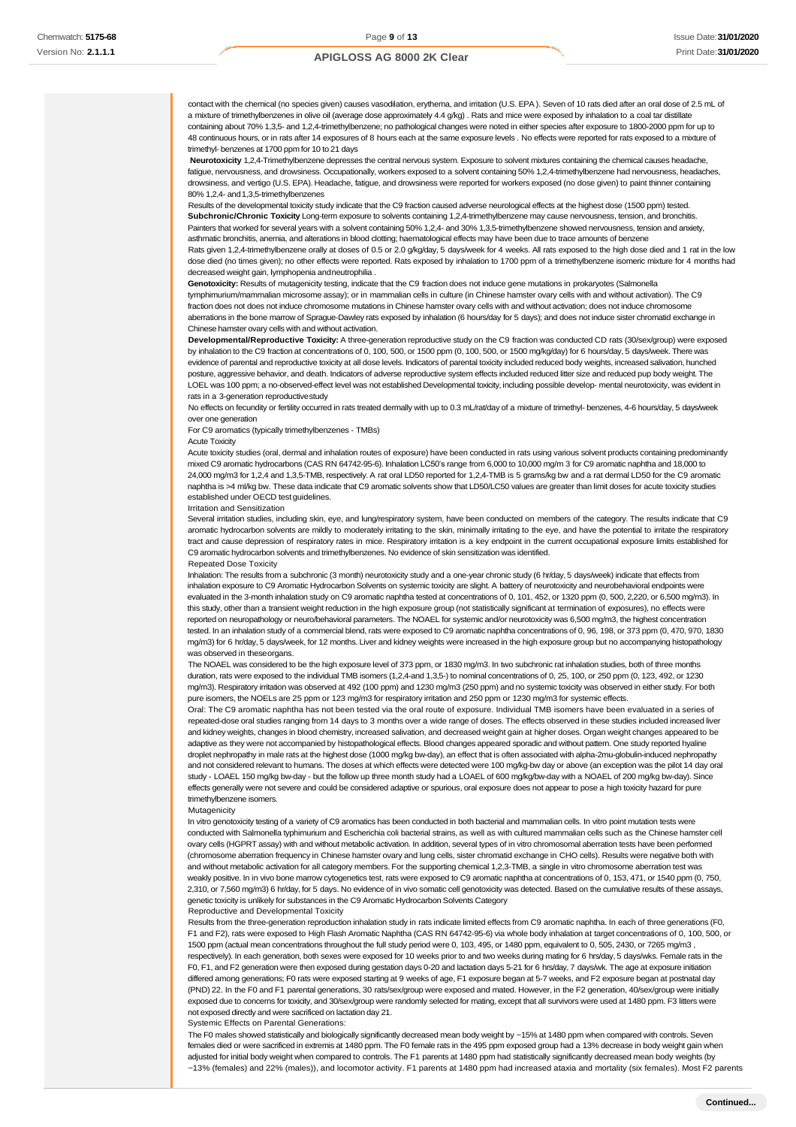contact with the chemical (no species given) causes vasodilation, erythema, and irritation (U.S. EPA ). Seven of 10 rats died after an oral dose of 2.5 mL of a mixture of trimethylbenzenes in olive oil (average dose approximately 4.4 g/kg) . Rats and mice were exposed by inhalation to a coal tar distillate containing about 70% 1,3,5- and 1,2,4-trimethylbenzene; no pathological changes were noted in either species after exposure to 1800-2000 ppm for up to 48 continuous hours, or in rats after 14 exposures of 8 hours each at the same exposure levels . No effects were reported for rats exposed to a mixture of trimethyl- benzenes at 1700 ppm for 10 to 21 days

**Neurotoxicity** 1,2,4-Trimethylbenzene depresses the central nervous system. Exposure to solvent mixtures containing the chemical causes headache, fatigue, nervousness, and drowsiness. Occupationally, workers exposed to a solvent containing 50% 1,2,4-trimethylbenzene had nervousness, headaches, drowsiness, and vertigo (U.S. EPA). Headache, fatigue, and drowsiness were reported for workers exposed (no dose given) to paint thinner containing 80% 1,2,4- and 1,3,5-trimethylbenzenes

Results of the developmental toxicity study indicate that the C9 fraction caused adverse neurological effects at the highest dose (1500 ppm) tested. **Subchronic/Chronic Toxicity** Long-term exposure to solvents containing 1,2,4-trimethylbenzene may cause nervousness, tension, and bronchitis. Painters that worked for several years with a solvent containing 50% 1,2,4- and 30% 1,3,5-trimethylbenzene showed nervousness, tension and anxiety, asthmatic bronchitis, anemia, and alterations in blood clotting; haematological effects may have been due to trace amounts of benzene

Rats given 1,2,4-trimethylbenzene orally at doses of 0.5 or 2.0 g/kg/day, 5 days/week for 4 weeks. All rats exposed to the high dose died and 1 rat in the low dose died (no times given); no other effects were reported. Rats exposed by inhalation to 1700 ppm of a trimethylbenzene isomeric mixture for 4 months had decreased weight gain, lymphopenia andneutrophilia .

**Genotoxicity:** Results of mutagenicity testing, indicate that the C9 fraction does not induce gene mutations in prokaryotes (Salmonella tymphimurium/mammalian microsome assay); or in mammalian cells in culture (in Chinese hamster ovary cells with and without activation). The C9 fraction does not does not induce chromosome mutations in Chinese hamster ovary cells with and without activation; does not induce chromosome aberrations in the bone marrow of Sprague-Dawley rats exposed by inhalation (6 hours/day for 5 days); and does not induce sister chromatid exchange in Chinese hamster ovary cells with and without activation.

**Developmental/Reproductive Toxicity:** A three-generation reproductive study on the C9 fraction was conducted CD rats (30/sex/group) were exposed by inhalation to the C9 fraction at concentrations of 0, 100, 500, or 1500 ppm (0, 100, 500, or 1500 mg/kg/day) for 6 hours/day, 5 days/week. There was evidence of parental and reproductive toxicity at all dose levels. Indicators of parental toxicity included reduced body weights, increased salivation, hunched posture, aggressive behavior, and death. Indicators of adverse reproductive system effects included reduced litter size and reduced pup body weight. The LOEL was 100 ppm; a no-observed-effect level was not established Developmental toxicity, including possible develop- mental neurotoxicity, was evident in rats in a 3-generation reproductivestudy

No effects on fecundity or fertility occurred in rats treated dermally with up to 0.3 mL/rat/day of a mixture of trimethyl- benzenes, 4-6 hours/day, 5 days/week over one generation

For C9 aromatics (typically trimethylbenzenes - TMBs)

#### Acute Toxicity

Acute toxicity studies (oral, dermal and inhalation routes of exposure) have been conducted in rats using various solvent products containing predominantly mixed C9 aromatic hydrocarbons (CAS RN 64742-95-6). Inhalation LC50's range from 6,000 to 10,000 mg/m 3 for C9 aromatic naphtha and 18,000 to 24,000 mg/m3 for 1,2,4 and 1,3,5-TMB, respectively. A rat oral LD50 reported for 1,2,4-TMB is 5 grams/kg bw and a rat dermal LD50 for the C9 aromatic naphtha is >4 ml/kg bw. These data indicate that C9 aromatic solvents show that LD50/LC50 values are greater than limit doses for acute toxicity studies established under OECD test guidelines.

Irritation and Sensitization

Several irritation studies, including skin, eye, and lung/respiratory system, have been conducted on members of the category. The results indicate that C9 aromatic hydrocarbon solvents are mildly to moderately irritating to the skin, minimally irritating to the eye, and have the potential to irritate the respiratory tract and cause depression of respiratory rates in mice. Respiratory irritation is a key endpoint in the current occupational exposure limits established for C9 aromatic hydrocarbon solvents and trimethylbenzenes. No evidence of skin sensitization was identified.

#### Repeated Dose Toxicity

Inhalation: The results from a subchronic (3 month) neurotoxicity study and a one-year chronic study (6 hr/day, 5 days/week) indicate that effects from inhalation exposure to C9 Aromatic Hydrocarbon Solvents on systemic toxicity are slight. A battery of neurotoxicity and neurobehavioral endpoints were evaluated in the 3-month inhalation study on C9 aromatic naphtha tested at concentrations of 0, 101, 452, or 1320 ppm (0, 500, 2,220, or 6,500 mg/m3). In this study, other than a transient weight reduction in the high exposure group (not statistically significant at termination of exposures), no effects were reported on neuropathology or neuro/behavioral parameters. The NOAEL for systemic and/or neurotoxicity was 6,500 mg/m3, the highest concentration ted. In an inhalation study of a commercial blend, rats were exposed to C9 aromatic naphtha concentrations of 0, 96, 198, or 373 ppm (0, 470, 970, 1830 mg/m3) for 6 hr/day, 5 days/week, for 12 months. Liver and kidney weights were increased in the high exposure group but no accompanying histopathology was observed in theseorgans.

The NOAEL was considered to be the high exposure level of 373 ppm, or 1830 mg/m3. In two subchronic rat inhalation studies, both of three months duration, rats were exposed to the individual TMB isomers (1,2,4-and 1,3,5-) to nominal concentrations of 0, 25, 100, or 250 ppm (0, 123, 492, or 1230 mg/m3). Respiratory irritation was observed at 492 (100 ppm) and 1230 mg/m3 (250 ppm) and no systemic toxicity was observed in either study. For both pure isomers, the NOELs are 25 ppm or 123 mg/m3 for respiratory irritation and 250 ppm or 1230 mg/m3 for systemic effects.

Oral: The C9 aromatic naphtha has not been tested via the oral route of exposure. Individual TMB isomers have been evaluated in a series of repeated-dose oral studies ranging from 14 days to 3 months over a wide range of doses. The effects observed in these studies included increased liver and kidney weights, changes in blood chemistry, increased salivation, and decreased weight gain at higher doses. Organ weight changes appeared to be adaptive as they were not accompanied by histopathological effects. Blood changes appeared sporadic and without pattern. One study reported hyaline droplet nephropathy in male rats at the highest dose (1000 mg/kg bw-day), an effect that is often associated with alpha-2mu-globulin-induced nephropathy and not considered relevant to humans. The doses at which effects were detected were 100 mg/kg-bw day or above (an exception was the pilot 14 day oral study - LOAEL 150 mg/kg bw-day - but the follow up three month study had a LOAEL of 600 mg/kg/bw-day with a NOAEL of 200 mg/kg bw-day). Since effects generally were not severe and could be considered adaptive or spurious, oral exposure does not appear to pose a high toxicity hazard for pure trimethylbenzene isomers.

#### Mutagenicity

In vitro genotoxicity testing of a variety of C9 aromatics has been conducted in both bacterial and mammalian cells. In vitro point mutation tests were conducted with Salmonella typhimurium and Escherichia coli bacterial strains, as well as with cultured mammalian cells such as the Chinese hamster cell ovary cells (HGPRT assay) with and without metabolic activation. In addition, several types of in vitro chromosomal aberration tests have been performed (chromosome aberration frequency in Chinese hamster ovary and lung cells, sister chromatid exchange in CHO cells). Results were negative both with and without metabolic activation for all category members. For the supporting chemical 1,2,3-TMB, a single in vitro chromosome aberration test was weakly positive. In in vivo bone marrow cytogenetics test, rats were exposed to C9 aromatic naphtha at concentrations of 0, 153, 471, or 1540 ppm (0, 750, 2,310, or 7,560 mg/m3) 6 hr/day, for 5 days. No evidence of in vivo somatic cell genotoxicity was detected. Based on the cumulative results of these assays, genetic toxicity is unlikely for substances in the C9 Aromatic Hydrocarbon Solvents Category

#### Reproductive and Developmental Toxicity

Results from the three-generation reproduction inhalation study in rats indicate limited effects from C9 aromatic naphtha. In each of three generations (F0, F1 and F2), rats were exposed to High Flash Aromatic Naphtha (CAS RN 64742-95-6) via whole body inhalation at target concentrations of 0, 100, 500, or 1500 ppm (actual mean concentrations throughout the full study period were 0, 103, 495, or 1480 ppm, equivalent to 0, 505, 2430, or 7265 mg/m3 , respectively). In each generation, both sexes were exposed for 10 weeks prior to and two weeks during mating for 6 hrs/day, 5 days/wks. Female rats in the F0, F1, and F2 generation were then exposed during gestation days 0-20 and lactation days 5-21 for 6 hrs/day, 7 days/wk. The age at exposure initiation differed among generations; F0 rats were exposed starting at 9 weeks of age, F1 exposure began at 5-7 weeks, and F2 exposure began at postnatal day (PND) 22. In the F0 and F1 parental generations, 30 rats/sex/group were exposed and mated. However, in the F2 generation, 40/sex/group were initially exposed due to concerns for toxicity, and 30/sex/group were randomly selected for mating, except that all survivors were used at 1480 ppm. F3 litters were not exposed directly and were sacrificed on lactation day 21.

Systemic Effects on Parental Generations:

The F0 males showed statistically and biologically significantly decreased mean body weight by ~15% at 1480 ppm when compared with controls. Seven females died or were sacrificed in extremis at 1480 ppm. The F0 female rats in the 495 ppm exposed group had a 13% decrease in body weight gain when adjusted for initial body weight when compared to controls. The F1 parents at 1480 ppm had statistically significantly decreased mean body weights (by ~13% (females) and 22% (males)), and locomotor activity. F1 parents at 1480 ppm had increased ataxia and mortality (six females). Most F2 parents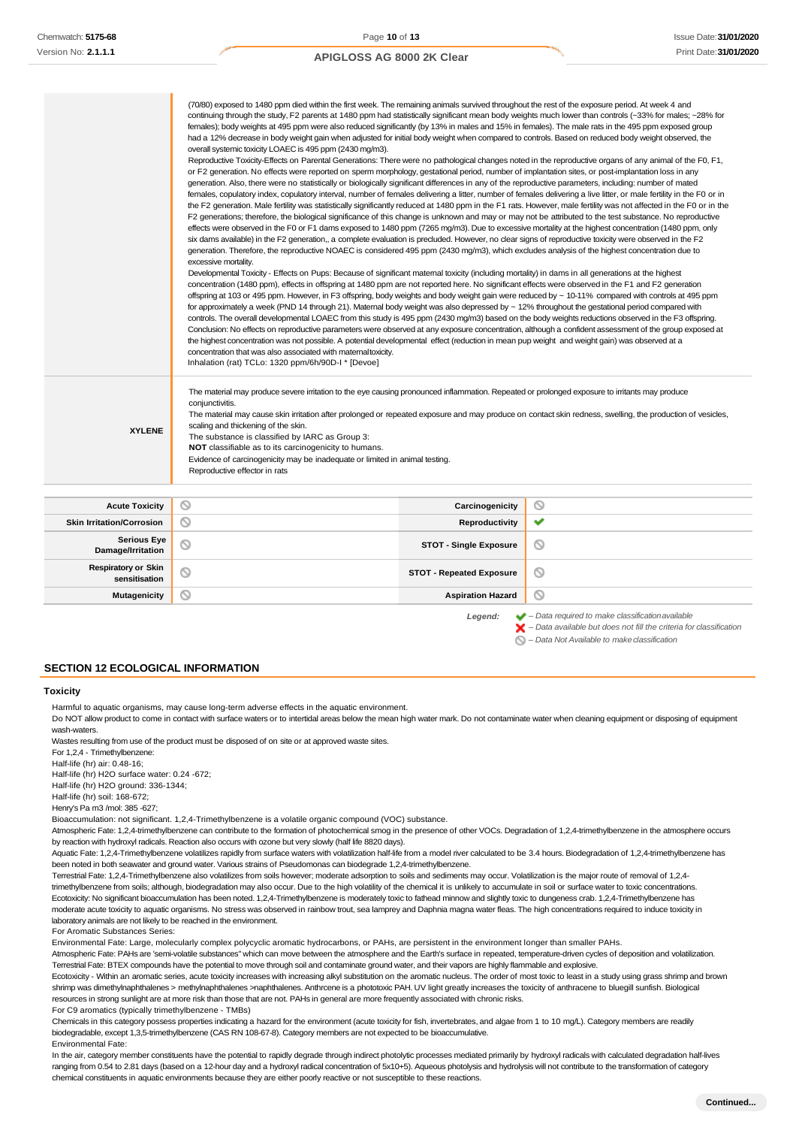|                       | six dams available) in the F2 generation,, a complete evaluation is precluded. However, no clear signs of reproductive toxicity were observed in the F2                                                                                                                                                 |  |  |
|-----------------------|---------------------------------------------------------------------------------------------------------------------------------------------------------------------------------------------------------------------------------------------------------------------------------------------------------|--|--|
|                       | generation. Therefore, the reproductive NOAEC is considered 495 ppm (2430 mg/m3), which excludes analysis of the highest concentration due to                                                                                                                                                           |  |  |
|                       | excessive mortality.<br>Developmental Toxicity - Effects on Pups: Because of significant maternal toxicity (including mortality) in dams in all generations at the highest                                                                                                                              |  |  |
|                       | concentration (1480 ppm), effects in offspring at 1480 ppm are not reported here. No significant effects were observed in the F1 and F2 generation                                                                                                                                                      |  |  |
|                       | offspring at 103 or 495 ppm. However, in F3 offspring, body weights and body weight gain were reduced by ~ 10-11% compared with controls at 495 ppm<br>for approximately a week (PND 14 through 21). Maternal body weight was also depressed by ~ 12% throughout the gestational period compared with   |  |  |
|                       | controls. The overall developmental LOAEC from this study is 495 ppm (2430 mg/m3) based on the body weights reductions observed in the F3 offspring.                                                                                                                                                    |  |  |
|                       | Conclusion: No effects on reproductive parameters were observed at any exposure concentration, although a confident assessment of the group exposed at<br>the highest concentration was not possible. A potential developmental effect (reduction in mean pup weight and weight gain) was observed at a |  |  |
|                       | concentration that was also associated with matemaltoxicity.                                                                                                                                                                                                                                            |  |  |
|                       | Inhalation (rat) TCLo: 1320 ppm/6h/90D-I * [Devoe]                                                                                                                                                                                                                                                      |  |  |
|                       | The material may produce severe irritation to the eye causing pronounced inflammation. Repeated or prolonged exposure to irritants may produce<br>conjunctivitis.                                                                                                                                       |  |  |
|                       | The material may cause skin irritation after prolonged or repeated exposure and may produce on contact skin redness, swelling, the production of vesicles,                                                                                                                                              |  |  |
|                       |                                                                                                                                                                                                                                                                                                         |  |  |
| <b>XYLENE</b>         | scaling and thickening of the skin.                                                                                                                                                                                                                                                                     |  |  |
|                       | The substance is classified by IARC as Group 3:<br>NOT classifiable as to its carcinogenicity to humans.                                                                                                                                                                                                |  |  |
|                       | Evidence of carcinogenicity may be inadequate or limited in animal testing.                                                                                                                                                                                                                             |  |  |
|                       | Reproductive effector in rats                                                                                                                                                                                                                                                                           |  |  |
|                       |                                                                                                                                                                                                                                                                                                         |  |  |
| <b>Acute Toxicity</b> | ∾<br>Carcinogenicity<br>∾                                                                                                                                                                                                                                                                               |  |  |

| <b>Skin Irritation/Corrosion</b>            | N      | Reproductivity                  | $\checkmark$ |
|---------------------------------------------|--------|---------------------------------|--------------|
| Serious Eye /<br>Damage/Irritation          |        | <b>STOT - Single Exposure</b>   | $\circ$      |
| <b>Respiratory or Skin</b><br>sensitisation | Y      | <b>STOT - Repeated Exposure</b> | O            |
| <b>Mutagenicity</b>                         | N<br>ы | <b>Aspiration Hazard</b>        | $\circ$      |

*Legend: – Data required to make classificationavailable – Data available but does not fill the criteria for classification*

*– Data Not Available to makeclassification*

### **SECTION 12 ECOLOGICAL INFORMATION**

#### **Toxicity**

Harmful to aquatic organisms, may cause long-term adverse effects in the aquatic environment.

Do NOT allow product to come in contact with surface waters or to intertidal areas below the mean high water mark. Do not contaminate water when cleaning equipment or disposing of equipment wash-waters.

Wastes resulting from use of the product must be disposed of on site or at approved waste sites.

For 1,2,4 - Trimethylbenzene:

Half-life (hr) air: 0.48-16;

Half-life (hr) H2O surface water: 0.24 -672;

Half-life (hr) H2O ground: 336-1344;

Half-life (hr) soil: 168-672; Henry's Pa m3 /mol: 385 -627;

Bioaccumulation: not significant. 1,2,4-Trimethylbenzene is a volatile organic compound (VOC) substance.

Atmospheric Fate: 1,2,4-trimethylbenzene can contribute to the formation of photochemical smog in the presence of other VOCs. Degradation of 1,2,4-trimethylbenzene in the atmosphere occurs by reaction with hydroxyl radicals. Reaction also occurs with ozone but very slowly (half life 8820 days).

Aquatic Fate: 1,2,4-Trimethylbenzene volatilizes rapidly from surface waters with volatilization half-life from a model river calculated to be 3.4 hours. Biodegradation of 1,2,4-trimethylbenzene has been noted in both seawater and ground water. Various strains of Pseudomonas can biodegrade 1,2,4-trimethylbenzene.

Terrestrial Fate: 1,2,4-Trimethylbenzene also volatilizes from soils however; moderate adsorption to soils and sediments may occur. Volatilization is the major route of removal of 1,2,4 trimethylbenzene from soils; although, biodegradation may also occur. Due to the high volatility of the chemical it is unlikely to accumulate in soil or surface water to toxic concentrations. Ecotoxicity: No significant bioaccumulation has been noted. 1,2,4-Trimethylbenzene is moderately toxic to fathead minnow and slightly toxic to dungeness crab. 1,2,4-Trimethylbenzene has moderate acute toxicity to aquatic organisms. No stress was observed in rainbow trout, sea lamprey and Daphnia magna water fleas. The high concentrations required to induce toxicity in laboratory animals are not likely to be reached in the environment.

For Aromatic Substances Series:

Environmental Fate: Large, molecularly complex polycyclic aromatic hydrocarbons, or PAHs, are persistent in the environment longer than smaller PAHs. Atmospheric Fate: PAHs are 'semi-volatile substances" which can move between the atmosphere and the Earth's surface in repeated, temperature-driven cycles of deposition and volatilization.

Terrestrial Fate: BTEX compounds have the potential to move through soil and contaminate ground water, and their vapors are highly flammable and explosive.

Ecotoxicity - Within an aromatic series, acute toxicity increases with increasing alkyl substitution on the aromatic nucleus. The order of most toxic to least in a study using grass shrimp and brown shrimp was dimethylnaphthalenes > methylnaphthalenes >naphthalenes. Anthrcene is a phototoxic PAH. UV light greatly increases the toxicity of anthracene to bluegill sunfish. Biological resources in strong sunlight are at more risk than those that are not. PAHs in general are more frequently associated with chronic risks. For C9 aromatics (typically trimethylbenzene - TMBs)

Chemicals in this category possess properties indicating a hazard for the environment (acute toxicity for fish, invertebrates, and algae from 1 to 10 mg/L). Category members are readily biodegradable, except 1,3,5-trimethylbenzene (CAS RN 108-67-8). Category members are not expected to be bioaccumulative. Environmental Fate:

In the air, category member constituents have the potential to rapidly degrade through indirect photolytic processes mediated primarily by hydroxyl radicals with calculated degradation half-lives ranging from 0.54 to 2.81 days (based on a 12-hour day and a hydroxyl radical concentration of 5x10+5). Aqueous photolysis and hydrolysis will not contribute to the transformation of category chemical constituents in aquatic environments because they are either poorly reactive or not susceptible to these reactions.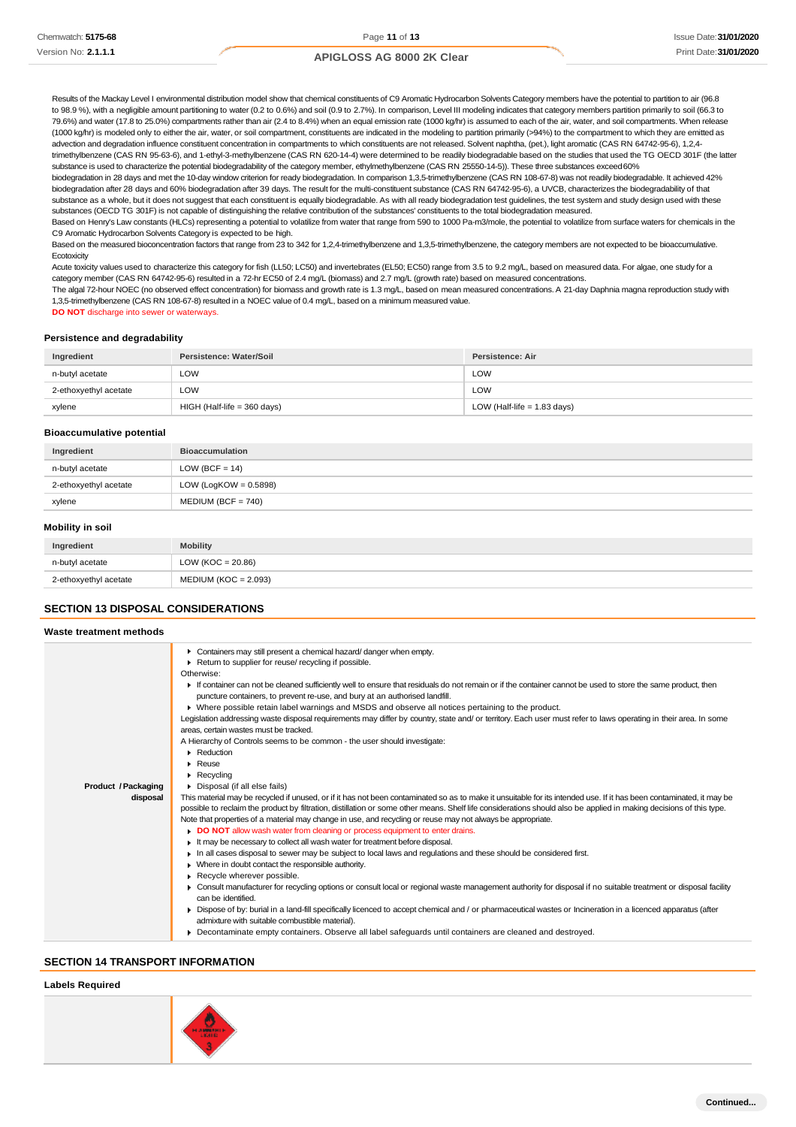Results of the Mackay Level I environmental distribution model show that chemical constituents of C9 Aromatic Hydrocarbon Solvents Category members have the potential to partition to air (96.8 to 98.9 %), with a negligible amount partitioning to water (0.2 to 0.6%) and soil (0.9 to 2.7%). In comparison, Level III modeling indicates that category members partition primarily to soil (66.3 to 79.6%) and water (17.8 to 25.0%) compartments rather than air (2.4 to 8.4%) when an equal emission rate (1000 kg/hr) is assumed to each of the air, water, and soil compartments. When release (1000 kg/hr) is modeled only to either the air, water, or soil compartment, constituents are indicated in the modeling to partition primarily (>94%) to the compartment to which they are emitted as advection and degradation influence constituent concentration in compartments to which constituents are not released. Solvent naphtha, (pet.), light aromatic (CAS RN 64742-95-6), 1,2,4-

trimethylbenzene (CAS RN 95-63-6), and 1-ethyl-3-methylbenzene (CAS RN 620-14-4) were determined to be readily biodegradable based on the studies that used the TG OECD 301F (the latter substance is used to characterize the potential biodegradability of the category member, ethylmethylbenzene (CAS RN 25550-14-5)). These three substances exceed60%

biodegradation in 28 days and met the 10-day window criterion for ready biodegradation. In comparison 1,3,5-trimethylbenzene (CAS RN 108-67-8) was not readily biodegradable. It achieved 42% biodegradation after 28 days and 60% biodegradation after 39 days. The result for the multi-constituent substance (CAS RN 64742-95-6), a UVCB, characterizes the biodegradability of that substance as a whole, but it does not suggest that each constituent is equally biodegradable. As with all ready biodegradation test guidelines, the test system and study design used with these substances (OECD TG 301F) is not capable of distinguishing the relative contribution of the substances' constituents to the total biodegradation measured.

Based on Henry's Law constants (HLCs) representing a potential to volatilize from water that range from 590 to 1000 Pa-m3/mole, the potential to volatilize from surface waters for chemicals in the C9 Aromatic Hydrocarbon Solvents Category is expected to be high.

Based on the measured bioconcentration factors that range from 23 to 342 for 1,2,4-trimethylbenzene and 1,3,5-trimethylbenzene, the category members are not expected to be bioaccumulative. **Ecotoxicity** 

Acute toxicity values used to characterize this category for fish (LL50; LC50) and invertebrates (EL50; EC50) range from 3.5 to 9.2 mg/L, based on measured data. For algae, one study for a category member (CAS RN 64742-95-6) resulted in a 72-hr EC50 of 2.4 mg/L (biomass) and 2.7 mg/L (growth rate) based on measured concentrations.

The algal 72-hour NOEC (no observed effect concentration) for biomass and growth rate is 1.3 mg/L, based on mean measured concentrations. A 21-day Daphnia magna reproduction study with 1,3,5-trimethylbenzene (CAS RN 108-67-8) resulted in a NOEC value of 0.4 mg/L, based on a minimum measured value.

**DO NOT** discharge into sewer or waterways.

#### **Persistence and degradability**

| Ingredient            | Persistence: Water/Soil     | Persistence: Air              |
|-----------------------|-----------------------------|-------------------------------|
| n-butyl acetate       | LOW                         | LOW                           |
| 2-ethoxyethyl acetate | LOW                         | LOW                           |
| xylene                | HIGH (Half-life = 360 days) | LOW (Half-life $= 1.83$ days) |

#### **Bioaccumulative potential**

| Ingredient            | <b>Bioaccumulation</b>   |
|-----------------------|--------------------------|
| n-butyl acetate       | LOW (BCF = $14$ )        |
| 2-ethoxyethyl acetate | LOW (LogKOW = $0.5898$ ) |
| xylene                | $MEDIUM (BCF = 740)$     |

#### **Mobility in soil**

| Ingredient            | <b>Mobility</b>        |
|-----------------------|------------------------|
| n-butyl acetate       | LOW (KOC = $20.86$ )   |
| 2-ethoxyethyl acetate | $MEDIUM (KOC = 2.093)$ |

### **SECTION 13 DISPOSAL CONSIDERATIONS**

| Waste treatment methods    |                                                                                                                                                                                                                                            |
|----------------------------|--------------------------------------------------------------------------------------------------------------------------------------------------------------------------------------------------------------------------------------------|
|                            | Containers may still present a chemical hazard/danger when empty.                                                                                                                                                                          |
|                            | Return to supplier for reuse/ recycling if possible.                                                                                                                                                                                       |
|                            | Otherwise:                                                                                                                                                                                                                                 |
|                            | If container can not be cleaned sufficiently well to ensure that residuals do not remain or if the container cannot be used to store the same product, then<br>puncture containers, to prevent re-use, and bury at an authorised landfill. |
|                            | ▶ Where possible retain label warnings and MSDS and observe all notices pertaining to the product.                                                                                                                                         |
|                            | Legislation addressing waste disposal requirements may differ by country, state and/ or territory. Each user must refer to laws operating in their area. In some<br>areas, certain wastes must be tracked.                                 |
|                            | A Hierarchy of Controls seems to be common - the user should investigate:                                                                                                                                                                  |
|                            | • Reduction                                                                                                                                                                                                                                |
|                            | $\triangleright$ Reuse                                                                                                                                                                                                                     |
|                            | $\blacktriangleright$ Recycling                                                                                                                                                                                                            |
| <b>Product / Packaging</b> | Disposal (if all else fails)                                                                                                                                                                                                               |
| disposal                   | This material may be recycled if unused, or if it has not been contaminated so as to make it unsuitable for its intended use. If it has been contaminated, it may be                                                                       |
|                            | possible to reclaim the product by filtration, distillation or some other means. Shelf life considerations should also be applied in making decisions of this type.                                                                        |
|                            | Note that properties of a material may change in use, and recycling or reuse may not always be appropriate.                                                                                                                                |
|                            | DO NOT allow wash water from cleaning or process equipment to enter drains.                                                                                                                                                                |
|                            | It may be necessary to collect all wash water for treatment before disposal.                                                                                                                                                               |
|                            | In all cases disposal to sewer may be subject to local laws and regulations and these should be considered first.                                                                                                                          |
|                            | • Where in doubt contact the responsible authority.                                                                                                                                                                                        |
|                            | Recycle wherever possible.                                                                                                                                                                                                                 |
|                            | • Consult manufacturer for recycling options or consult local or regional waste management authority for disposal if no suitable treatment or disposal facility<br>can be identified.                                                      |
|                            | ► Dispose of by: burial in a land-fill specifically licenced to accept chemical and / or pharmaceutical wastes or Incineration in a licenced apparatus (after                                                                              |
|                            | admixture with suitable combustible material).                                                                                                                                                                                             |
|                            | • Decontaminate empty containers. Observe all label safequards until containers are cleaned and destroyed.                                                                                                                                 |

# **SECTION 14 TRANSPORT INFORMATION**

### **Labels Required**

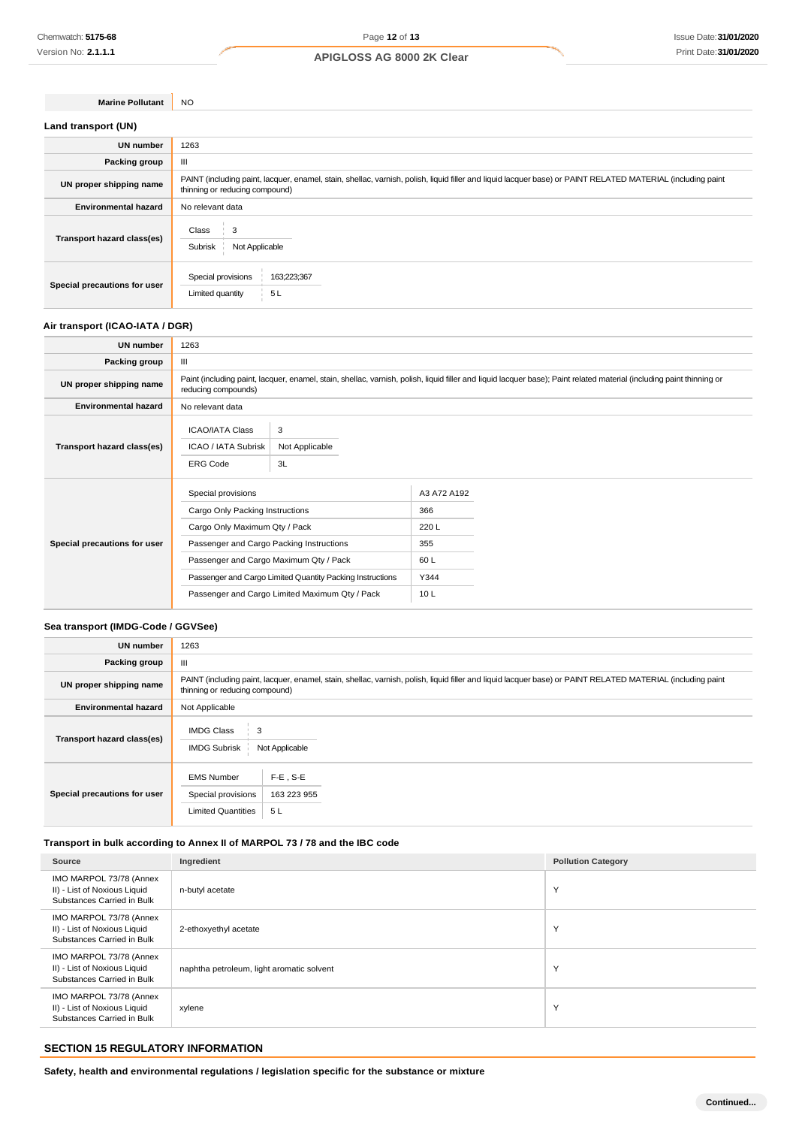**Marine Pollutant** NO

| Land transport (UN)          |                                                                                                                                                                                               |
|------------------------------|-----------------------------------------------------------------------------------------------------------------------------------------------------------------------------------------------|
| <b>UN number</b>             | 1263                                                                                                                                                                                          |
| Packing group                | Ш                                                                                                                                                                                             |
| UN proper shipping name      | PAINT (including paint, lacquer, enamel, stain, shellac, varnish, polish, liquid filler and liquid lacquer base) or PAINT RELATED MATERIAL (including paint<br>thinning or reducing compound) |
| <b>Environmental hazard</b>  | No relevant data                                                                                                                                                                              |
| Transport hazard class(es)   | Class<br>Not Applicable<br>Subrisk                                                                                                                                                            |
| Special precautions for user | Special provisions<br>163;223;367<br>Limited quantity<br>5L                                                                                                                                   |

# **Air transport (ICAO-IATA / DGR)**

| <b>UN number</b>             | 1263                                                                                                                                                                                         |                                                                                                             |                                                          |  |
|------------------------------|----------------------------------------------------------------------------------------------------------------------------------------------------------------------------------------------|-------------------------------------------------------------------------------------------------------------|----------------------------------------------------------|--|
| Packing group                | Ш                                                                                                                                                                                            |                                                                                                             |                                                          |  |
| UN proper shipping name      | Paint (including paint, lacquer, enamel, stain, shellac, varnish, polish, liquid filler and liquid lacquer base); Paint related material (including paint thinning or<br>reducing compounds) |                                                                                                             |                                                          |  |
| <b>Environmental hazard</b>  | No relevant data                                                                                                                                                                             |                                                                                                             |                                                          |  |
| Transport hazard class(es)   | <b>ICAO/IATA Class</b><br>ICAO / IATA Subrisk<br><b>ERG Code</b>                                                                                                                             | 3<br>Not Applicable<br>3L                                                                                   |                                                          |  |
| Special precautions for user | Special provisions<br>Cargo Only Packing Instructions<br>Cargo Only Maximum Qty / Pack<br>Passenger and Cargo Packing Instructions<br>Passenger and Cargo Maximum Qty / Pack                 | Passenger and Cargo Limited Quantity Packing Instructions<br>Passenger and Cargo Limited Maximum Qty / Pack | A3 A72 A192<br>366<br>220L<br>355<br>60 L<br>Y344<br>10L |  |

### **Sea transport (IMDG-Code / GGVSee)**

| <b>UN number</b>             | 1263                                                                                                                                                                                          |  |  |
|------------------------------|-----------------------------------------------------------------------------------------------------------------------------------------------------------------------------------------------|--|--|
| Packing group                | Ш                                                                                                                                                                                             |  |  |
| UN proper shipping name      | PAINT (including paint, lacquer, enamel, stain, shellac, varnish, polish, liquid filler and liquid lacquer base) or PAINT RELATED MATERIAL (including paint<br>thinning or reducing compound) |  |  |
| <b>Environmental hazard</b>  | Not Applicable                                                                                                                                                                                |  |  |
| Transport hazard class(es)   | <b>IMDG Class</b><br>3<br>Not Applicable<br><b>IMDG Subrisk</b>                                                                                                                               |  |  |
| Special precautions for user | $F-E$ , S-E<br><b>EMS Number</b><br>163 223 955<br>Special provisions<br><b>Limited Quantities</b><br>5L                                                                                      |  |  |

# **Transport in bulk according to Annex II of MARPOL 73 / 78 and the IBC code**

| Source                                                                                | Ingredient                                | <b>Pollution Category</b> |
|---------------------------------------------------------------------------------------|-------------------------------------------|---------------------------|
| IMO MARPOL 73/78 (Annex<br>II) - List of Noxious Liquid<br>Substances Carried in Bulk | n-butyl acetate                           | Y                         |
| IMO MARPOL 73/78 (Annex<br>II) - List of Noxious Liquid<br>Substances Carried in Bulk | 2-ethoxyethyl acetate                     | Υ                         |
| IMO MARPOL 73/78 (Annex<br>II) - List of Noxious Liquid<br>Substances Carried in Bulk | naphtha petroleum, light aromatic solvent | Υ                         |
| IMO MARPOL 73/78 (Annex<br>II) - List of Noxious Liquid<br>Substances Carried in Bulk | xylene                                    | Y                         |

# **SECTION 15 REGULATORY INFORMATION**